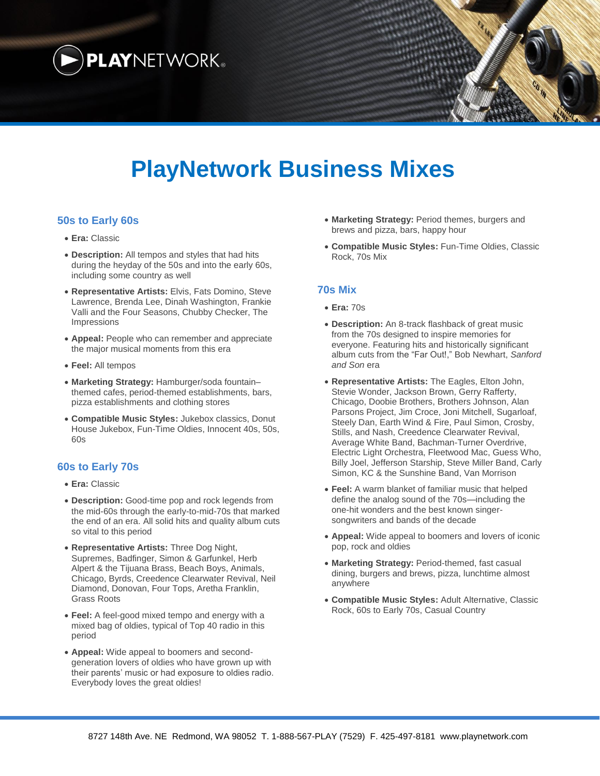

# **PlayNetwork Business Mixes**

### **50s to Early 60s**

- **Era:** Classic
- **Description:** All tempos and styles that had hits during the heyday of the 50s and into the early 60s, including some country as well
- **Representative Artists:** Elvis, Fats Domino, Steve Lawrence, Brenda Lee, Dinah Washington, Frankie Valli and the Four Seasons, Chubby Checker, The Impressions
- **Appeal:** People who can remember and appreciate the major musical moments from this era
- **Feel:** All tempos
- **Marketing Strategy:** Hamburger/soda fountain– themed cafes, period-themed establishments, bars, pizza establishments and clothing stores
- **Compatible Music Styles:** Jukebox classics, Donut House Jukebox, Fun-Time Oldies, Innocent 40s, 50s, 60s

#### **60s to Early 70s**

- **Era:** Classic
- **Description:** Good-time pop and rock legends from the mid-60s through the early-to-mid-70s that marked the end of an era. All solid hits and quality album cuts so vital to this period
- **Representative Artists:** Three Dog Night, Supremes, Badfinger, Simon & Garfunkel, Herb Alpert & the Tijuana Brass, Beach Boys, Animals, Chicago, Byrds, Creedence Clearwater Revival, Neil Diamond, Donovan, Four Tops, Aretha Franklin, Grass Roots
- **Feel:** A feel-good mixed tempo and energy with a mixed bag of oldies, typical of Top 40 radio in this period
- **Appeal:** Wide appeal to boomers and secondgeneration lovers of oldies who have grown up with their parents' music or had exposure to oldies radio. Everybody loves the great oldies!
- **Marketing Strategy:** Period themes, burgers and brews and pizza, bars, happy hour
- **Compatible Music Styles:** Fun-Time Oldies, Classic Rock, 70s Mix

#### **70s Mix**

- **Era:** 70s
- **Description:** An 8-track flashback of great music from the 70s designed to inspire memories for everyone. Featuring hits and historically significant album cuts from the "Far Out!," Bob Newhart, *Sanford and Son* era
- **Representative Artists:** The Eagles, Elton John, Stevie Wonder, Jackson Brown, Gerry Rafferty, Chicago, Doobie Brothers, Brothers Johnson, Alan Parsons Project, Jim Croce, Joni Mitchell, Sugarloaf, Steely Dan, Earth Wind & Fire, Paul Simon, Crosby, Stills, and Nash, Creedence Clearwater Revival, Average White Band, Bachman-Turner Overdrive, Electric Light Orchestra, Fleetwood Mac, Guess Who, Billy Joel, Jefferson Starship, Steve Miller Band, Carly Simon, KC & the Sunshine Band, Van Morrison
- **Feel:** A warm blanket of familiar music that helped define the analog sound of the 70s—including the one-hit wonders and the best known singersongwriters and bands of the decade
- **Appeal:** Wide appeal to boomers and lovers of iconic pop, rock and oldies
- **Marketing Strategy:** Period-themed, fast casual dining, burgers and brews, pizza, lunchtime almost anywhere
- **Compatible Music Styles:** Adult Alternative, Classic Rock, 60s to Early 70s, Casual Country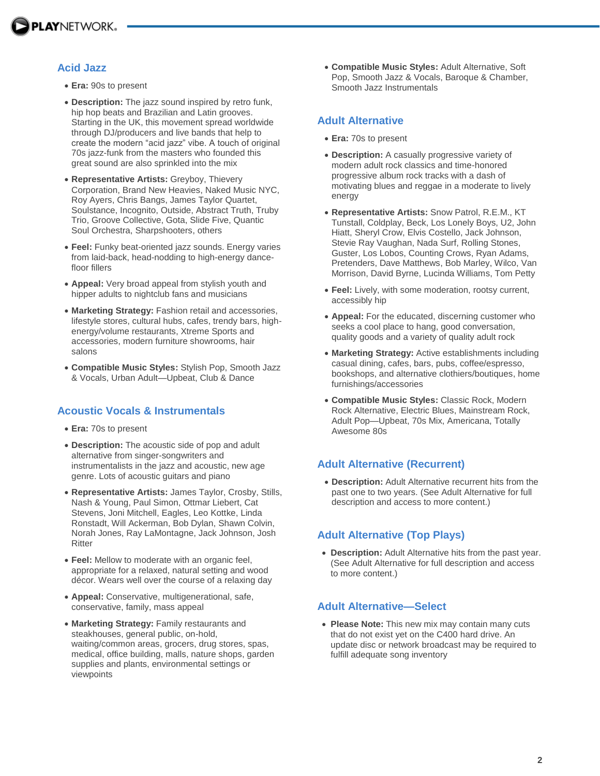

### **Acid Jazz**

- **Era:** 90s to present
- **Description:** The jazz sound inspired by retro funk, hip hop beats and Brazilian and Latin grooves. Starting in the UK, this movement spread worldwide through DJ/producers and live bands that help to create the modern "acid jazz" vibe. A touch of original 70s jazz-funk from the masters who founded this great sound are also sprinkled into the mix
- **Representative Artists:** Greyboy, Thievery Corporation, Brand New Heavies, Naked Music NYC, Roy Ayers, Chris Bangs, James Taylor Quartet, Soulstance, Incognito, Outside, Abstract Truth, Truby Trio, Groove Collective, Gota, Slide Five, Quantic Soul Orchestra, Sharpshooters, others
- **Feel:** Funky beat-oriented jazz sounds. Energy varies from laid-back, head-nodding to high-energy dancefloor fillers
- **Appeal:** Very broad appeal from stylish youth and hipper adults to nightclub fans and musicians
- **Marketing Strategy:** Fashion retail and accessories, lifestyle stores, cultural hubs, cafes, trendy bars, highenergy/volume restaurants, Xtreme Sports and accessories, modern furniture showrooms, hair salons
- **Compatible Music Styles:** Stylish Pop, Smooth Jazz & Vocals, Urban Adult—Upbeat, Club & Dance

### **Acoustic Vocals & Instrumentals**

- **Era:** 70s to present
- **Description:** The acoustic side of pop and adult alternative from singer-songwriters and instrumentalists in the jazz and acoustic, new age genre. Lots of acoustic guitars and piano
- **Representative Artists:** James Taylor, Crosby, Stills, Nash & Young, Paul Simon, Ottmar Liebert, Cat Stevens, Joni Mitchell, Eagles, Leo Kottke, Linda Ronstadt, Will Ackerman, Bob Dylan, Shawn Colvin, Norah Jones, Ray LaMontagne, Jack Johnson, Josh Ritter
- **Feel:** Mellow to moderate with an organic feel, appropriate for a relaxed, natural setting and wood décor. Wears well over the course of a relaxing day
- **Appeal:** Conservative, multigenerational, safe, conservative, family, mass appeal
- **Marketing Strategy:** Family restaurants and steakhouses, general public, on-hold, waiting/common areas, grocers, drug stores, spas, medical, office building, malls, nature shops, garden supplies and plants, environmental settings or viewpoints

 **Compatible Music Styles:** Adult Alternative, Soft Pop, Smooth Jazz & Vocals, Baroque & Chamber, Smooth Jazz Instrumentals

### **Adult Alternative**

- **Era:** 70s to present
- **Description:** A casually progressive variety of modern adult rock classics and time-honored progressive album rock tracks with a dash of motivating blues and reggae in a moderate to lively energy
- **Representative Artists:** Snow Patrol, R.E.M., KT Tunstall, Coldplay, Beck, Los Lonely Boys, U2, John Hiatt, Sheryl Crow, Elvis Costello, Jack Johnson, Stevie Ray Vaughan, Nada Surf, Rolling Stones, Guster, Los Lobos, Counting Crows, Ryan Adams, Pretenders, Dave Matthews, Bob Marley, Wilco, Van Morrison, David Byrne, Lucinda Williams, Tom Petty
- **Feel:** Lively, with some moderation, rootsy current, accessibly hip
- **Appeal:** For the educated, discerning customer who seeks a cool place to hang, good conversation, quality goods and a variety of quality adult rock
- **Marketing Strategy:** Active establishments including casual dining, cafes, bars, pubs, coffee/espresso, bookshops, and alternative clothiers/boutiques, home furnishings/accessories
- **Compatible Music Styles:** Classic Rock, Modern Rock Alternative, Electric Blues, Mainstream Rock, Adult Pop—Upbeat, 70s Mix, Americana, Totally Awesome 80s

# **Adult Alternative (Recurrent)**

 **Description:** Adult Alternative recurrent hits from the past one to two years. (See Adult Alternative for full description and access to more content.)

# **Adult Alternative (Top Plays)**

 **Description:** Adult Alternative hits from the past year. (See Adult Alternative for full description and access to more content.)

### **Adult Alternative—Select**

 **Please Note:** This new mix may contain many cuts that do not exist yet on the C400 hard drive. An update disc or network broadcast may be required to fulfill adequate song inventory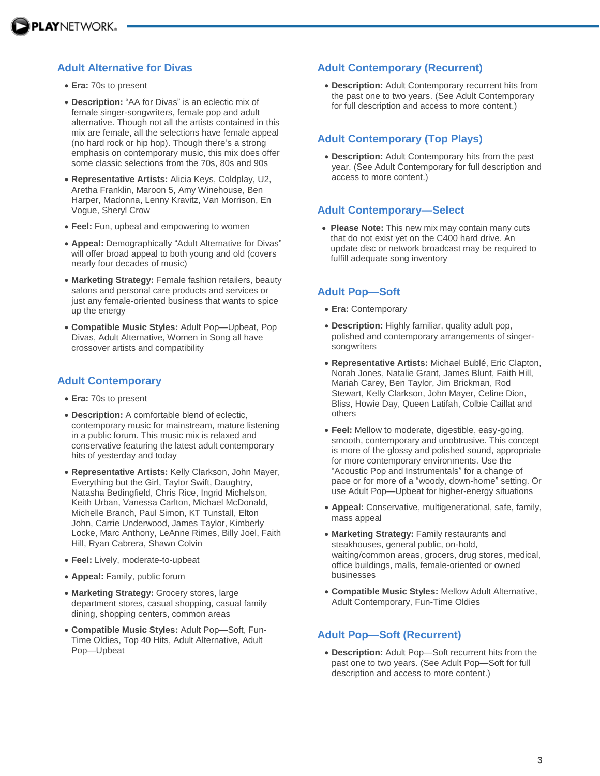### **Adult Alternative for Divas**

- **Era:** 70s to present
- **Description:** "AA for Divas" is an eclectic mix of female singer-songwriters, female pop and adult alternative. Though not all the artists contained in this mix are female, all the selections have female appeal (no hard rock or hip hop). Though there's a strong emphasis on contemporary music, this mix does offer some classic selections from the 70s, 80s and 90s
- **Representative Artists:** Alicia Keys, Coldplay, U2, Aretha Franklin, Maroon 5, Amy Winehouse, Ben Harper, Madonna, Lenny Kravitz, Van Morrison, En Vogue, Sheryl Crow
- **Feel:** Fun, upbeat and empowering to women
- **Appeal:** Demographically "Adult Alternative for Divas" will offer broad appeal to both young and old (covers nearly four decades of music)
- **Marketing Strategy:** Female fashion retailers, beauty salons and personal care products and services or just any female-oriented business that wants to spice up the energy
- **Compatible Music Styles:** Adult Pop—Upbeat, Pop Divas, Adult Alternative, Women in Song all have crossover artists and compatibility

#### **Adult Contemporary**

- **Era:** 70s to present
- **Description:** A comfortable blend of eclectic, contemporary music for mainstream, mature listening in a public forum. This music mix is relaxed and conservative featuring the latest adult contemporary hits of yesterday and today
- **Representative Artists:** Kelly Clarkson, John Mayer, Everything but the Girl, Taylor Swift, Daughtry, Natasha Bedingfield, Chris Rice, Ingrid Michelson, Keith Urban, Vanessa Carlton, Michael McDonald, Michelle Branch, Paul Simon, KT Tunstall, Elton John, Carrie Underwood, James Taylor, Kimberly Locke, Marc Anthony, LeAnne Rimes, Billy Joel, Faith Hill, Ryan Cabrera, Shawn Colvin
- **Feel:** Lively, moderate-to-upbeat
- **Appeal:** Family, public forum
- **Marketing Strategy:** Grocery stores, large department stores, casual shopping, casual family dining, shopping centers, common areas
- **Compatible Music Styles:** Adult Pop—Soft, Fun-Time Oldies, Top 40 Hits, Adult Alternative, Adult Pop—Upbeat

#### **Adult Contemporary (Recurrent)**

 **Description:** Adult Contemporary recurrent hits from the past one to two years. (See Adult Contemporary for full description and access to more content.)

#### **Adult Contemporary (Top Plays)**

 **Description:** Adult Contemporary hits from the past year. (See Adult Contemporary for full description and access to more content.)

#### **Adult Contemporary—Select**

 **Please Note:** This new mix may contain many cuts that do not exist yet on the C400 hard drive. An update disc or network broadcast may be required to fulfill adequate song inventory

### **Adult Pop—Soft**

- **Era:** Contemporary
- **Description:** Highly familiar, quality adult pop, polished and contemporary arrangements of singersongwriters
- **Representative Artists:** Michael Bublé, Eric Clapton, Norah Jones, Natalie Grant, James Blunt, Faith Hill, Mariah Carey, Ben Taylor, Jim Brickman, Rod Stewart, Kelly Clarkson, John Mayer, Celine Dion, Bliss, Howie Day, Queen Latifah, Colbie Caillat and others
- **Feel:** Mellow to moderate, digestible, easy-going, smooth, contemporary and unobtrusive. This concept is more of the glossy and polished sound, appropriate for more contemporary environments. Use the "Acoustic Pop and Instrumentals" for a change of pace or for more of a "woody, down-home" setting. Or use Adult Pop—Upbeat for higher-energy situations
- **Appeal:** Conservative, multigenerational, safe, family, mass appeal
- **Marketing Strategy:** Family restaurants and steakhouses, general public, on-hold, waiting/common areas, grocers, drug stores, medical, office buildings, malls, female-oriented or owned businesses
- **Compatible Music Styles:** Mellow Adult Alternative, Adult Contemporary, Fun-Time Oldies

### **Adult Pop—Soft (Recurrent)**

 **Description:** Adult Pop—Soft recurrent hits from the past one to two years. (See Adult Pop—Soft for full description and access to more content.)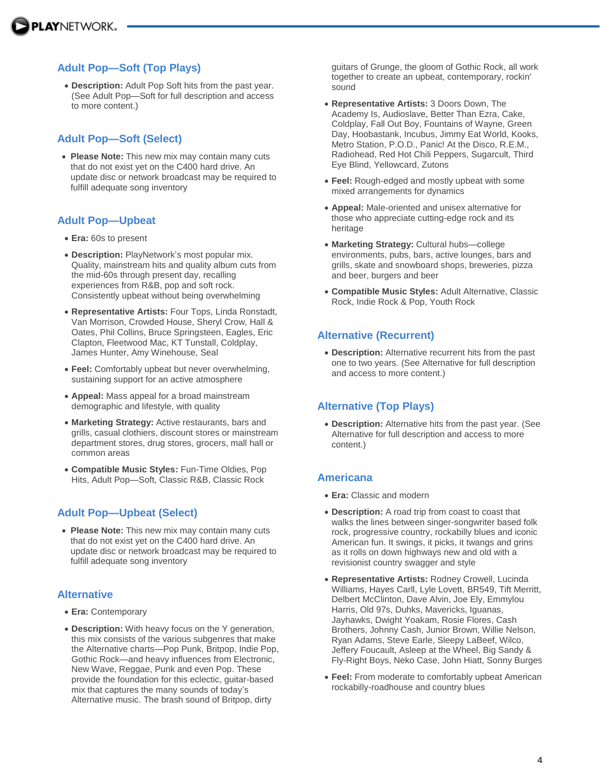# **Adult Pop—Soft (Top Plays)**

 **Description:** Adult Pop Soft hits from the past year. (See Adult Pop—Soft for full description and access to more content.)

### **Adult Pop—Soft (Select)**

 **Please Note:** This new mix may contain many cuts that do not exist yet on the C400 hard drive. An update disc or network broadcast may be required to fulfill adequate song inventory

### **Adult Pop—Upbeat**

- **Era:** 60s to present
- **Description:** PlayNetwork's most popular mix. Quality, mainstream hits and quality album cuts from the mid-60s through present day, recalling experiences from R&B, pop and soft rock. Consistently upbeat without being overwhelming
- **Representative Artists:** Four Tops, Linda Ronstadt, Van Morrison, Crowded House, Sheryl Crow, Hall & Oates, Phil Collins, Bruce Springsteen, Eagles, Eric Clapton, Fleetwood Mac, KT Tunstall, Coldplay, James Hunter, Amy Winehouse, Seal
- **Feel:** Comfortably upbeat but never overwhelming, sustaining support for an active atmosphere
- **Appeal:** Mass appeal for a broad mainstream demographic and lifestyle, with quality
- **Marketing Strategy:** Active restaurants, bars and grills, casual clothiers, discount stores or mainstream department stores, drug stores, grocers, mall hall or common areas
- **Compatible Music Styles:** Fun-Time Oldies, Pop Hits, Adult Pop—Soft, Classic R&B, Classic Rock

# **Adult Pop—Upbeat (Select)**

 **Please Note:** This new mix may contain many cuts that do not exist yet on the C400 hard drive. An update disc or network broadcast may be required to fulfill adequate song inventory

### **Alternative**

- **Era:** Contemporary
- **Description:** With heavy focus on the Y generation, this mix consists of the various subgenres that make the Alternative charts—Pop Punk, Britpop, Indie Pop, Gothic Rock—and heavy influences from Electronic, New Wave, Reggae, Punk and even Pop. These provide the foundation for this eclectic, guitar-based mix that captures the many sounds of today's Alternative music. The brash sound of Britpop, dirty

guitars of Grunge, the gloom of Gothic Rock, all work together to create an upbeat, contemporary, rockin' sound

- **Representative Artists:** 3 Doors Down, The Academy Is, Audioslave, Better Than Ezra, Cake, Coldplay, Fall Out Boy, Fountains of Wayne, Green Day, Hoobastank, Incubus, Jimmy Eat World, Kooks, Metro Station, P.O.D., Panic! At the Disco, R.E.M., Radiohead, Red Hot Chili Peppers, Sugarcult, Third Eye Blind, Yellowcard, Zutons
- **Feel:** Rough-edged and mostly upbeat with some mixed arrangements for dynamics
- **Appeal:** Male-oriented and unisex alternative for those who appreciate cutting-edge rock and its heritage
- **Marketing Strategy:** Cultural hubs—college environments, pubs, bars, active lounges, bars and grills, skate and snowboard shops, breweries, pizza and beer, burgers and beer
- **Compatible Music Styles:** Adult Alternative, Classic Rock, Indie Rock & Pop, Youth Rock

# **Alternative (Recurrent)**

 **Description:** Alternative recurrent hits from the past one to two years. (See Alternative for full description and access to more content.)

# **Alternative (Top Plays)**

 **Description:** Alternative hits from the past year. (See Alternative for full description and access to more content.)

# **Americana**

- **Era:** Classic and modern
- **Description:** A road trip from coast to coast that walks the lines between singer-songwriter based folk rock, progressive country, rockabilly blues and iconic American fun. It swings, it picks, it twangs and grins as it rolls on down highways new and old with a revisionist country swagger and style
- **Representative Artists:** Rodney Crowell, Lucinda Williams, Hayes Carll, Lyle Lovett, BR549, Tift Merritt, Delbert McClinton, Dave Alvin, Joe Ely, Emmylou Harris, Old 97s, Duhks, Mavericks, Iguanas, Jayhawks, Dwight Yoakam, Rosie Flores, Cash Brothers, Johnny Cash, Junior Brown, Willie Nelson, Ryan Adams, Steve Earle, Sleepy LaBeef, Wilco, Jeffery Foucault, Asleep at the Wheel, Big Sandy & Fly-Right Boys, Neko Case, John Hiatt, Sonny Burges
- **Feel:** From moderate to comfortably upbeat American rockabilly-roadhouse and country blues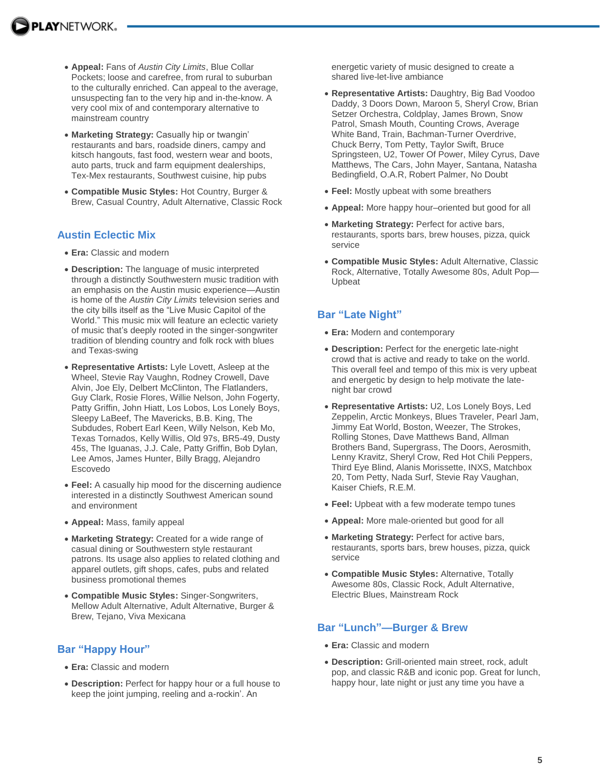- **Appeal:** Fans of *Austin City Limits*, Blue Collar Pockets; loose and carefree, from rural to suburban to the culturally enriched. Can appeal to the average, unsuspecting fan to the very hip and in-the-know. A very cool mix of and contemporary alternative to mainstream country
- **Marketing Strategy:** Casually hip or twangin' restaurants and bars, roadside diners, campy and kitsch hangouts, fast food, western wear and boots, auto parts, truck and farm equipment dealerships, Tex-Mex restaurants, Southwest cuisine, hip pubs
- **Compatible Music Styles:** Hot Country, Burger & Brew, Casual Country, Adult Alternative, Classic Rock

### **Austin Eclectic Mix**

- **Era:** Classic and modern
- **Description:** The language of music interpreted through a distinctly Southwestern music tradition with an emphasis on the Austin music experience—Austin is home of the *Austin City Limits* television series and the city bills itself as the "Live Music Capitol of the World." This music mix will feature an eclectic variety of music that's deeply rooted in the singer-songwriter tradition of blending country and folk rock with blues and Texas-swing
- **Representative Artists:** Lyle Lovett, Asleep at the Wheel, Stevie Ray Vaughn, Rodney Crowell, Dave Alvin, Joe Ely, Delbert McClinton, The Flatlanders, Guy Clark, Rosie Flores, Willie Nelson, John Fogerty, Patty Griffin, John Hiatt, Los Lobos, Los Lonely Boys, Sleepy LaBeef, The Mavericks, B.B. King, The Subdudes, Robert Earl Keen, Willy Nelson, Keb Mo, Texas Tornados, Kelly Willis, Old 97s, BR5-49, Dusty 45s, The Iguanas, J.J. Cale, Patty Griffin, Bob Dylan, Lee Amos, James Hunter, Billy Bragg, Alejandro Escovedo
- **Feel:** A casually hip mood for the discerning audience interested in a distinctly Southwest American sound and environment
- **Appeal:** Mass, family appeal
- **Marketing Strategy:** Created for a wide range of casual dining or Southwestern style restaurant patrons. Its usage also applies to related clothing and apparel outlets, gift shops, cafes, pubs and related business promotional themes
- **Compatible Music Styles:** Singer-Songwriters, Mellow Adult Alternative, Adult Alternative, Burger & Brew, Tejano, Viva Mexicana

### **Bar "Happy Hour"**

- **Era:** Classic and modern
- **Description:** Perfect for happy hour or a full house to keep the joint jumping, reeling and a-rockin'. An

energetic variety of music designed to create a shared live-let-live ambiance

- **Representative Artists:** Daughtry, Big Bad Voodoo Daddy, 3 Doors Down, Maroon 5, Sheryl Crow, Brian Setzer Orchestra, Coldplay, James Brown, Snow Patrol, Smash Mouth, Counting Crows, Average White Band, Train, Bachman-Turner Overdrive, Chuck Berry, Tom Petty, Taylor Swift, Bruce Springsteen, U2, Tower Of Power, Miley Cyrus, Dave Matthews, The Cars, John Mayer, Santana, Natasha Bedingfield, O.A.R, Robert Palmer, No Doubt
- **Feel:** Mostly upbeat with some breathers
- **Appeal:** More happy hour–oriented but good for all
- **Marketing Strategy:** Perfect for active bars, restaurants, sports bars, brew houses, pizza, quick service
- **Compatible Music Styles:** Adult Alternative, Classic Rock, Alternative, Totally Awesome 80s, Adult Pop— Upbeat

### **Bar "Late Night"**

- **Era:** Modern and contemporary
- **Description:** Perfect for the energetic late-night crowd that is active and ready to take on the world. This overall feel and tempo of this mix is very upbeat and energetic by design to help motivate the latenight bar crowd
- **Representative Artists:** U2, Los Lonely Boys, Led Zeppelin, Arctic Monkeys, Blues Traveler, Pearl Jam, Jimmy Eat World, Boston, Weezer, The Strokes, Rolling Stones, Dave Matthews Band, Allman Brothers Band, Supergrass, The Doors, Aerosmith, Lenny Kravitz, Sheryl Crow, Red Hot Chili Peppers, Third Eye Blind, Alanis Morissette, INXS, Matchbox 20, Tom Petty, Nada Surf, Stevie Ray Vaughan, Kaiser Chiefs, R.E.M.
- **Feel:** Upbeat with a few moderate tempo tunes
- **Appeal:** More male-oriented but good for all
- **Marketing Strategy:** Perfect for active bars, restaurants, sports bars, brew houses, pizza, quick service
- **Compatible Music Styles:** Alternative, Totally Awesome 80s, Classic Rock, Adult Alternative, Electric Blues, Mainstream Rock

### **Bar "Lunch"—Burger & Brew**

- **Era:** Classic and modern
- **Description:** Grill-oriented main street, rock, adult pop, and classic R&B and iconic pop. Great for lunch, happy hour, late night or just any time you have a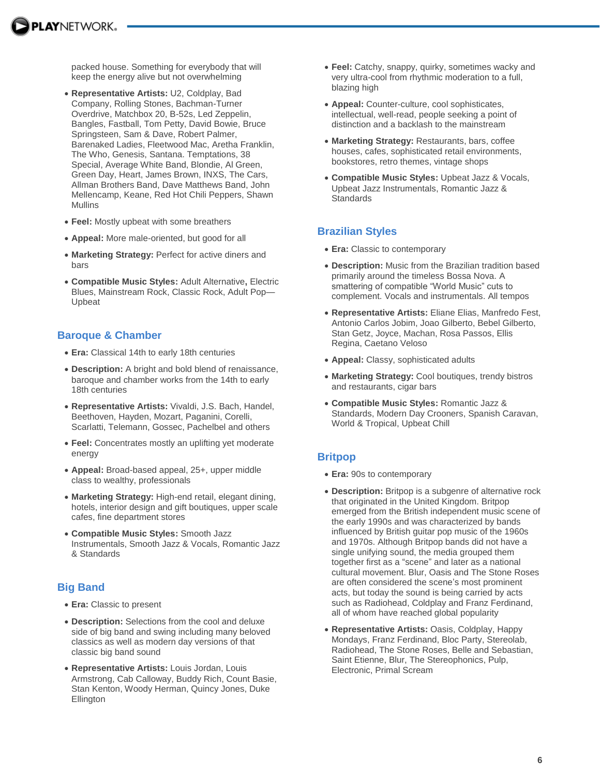

packed house. Something for everybody that will keep the energy alive but not overwhelming

- **Representative Artists:** U2, Coldplay, Bad Company, Rolling Stones, Bachman-Turner Overdrive, Matchbox 20, B-52s, Led Zeppelin, Bangles, Fastball, Tom Petty, David Bowie, Bruce Springsteen, Sam & Dave, Robert Palmer, Barenaked Ladies, Fleetwood Mac, Aretha Franklin, The Who, Genesis, Santana. Temptations, 38 Special, Average White Band, Blondie, Al Green, Green Day, Heart, James Brown, INXS, The Cars, Allman Brothers Band, Dave Matthews Band, John Mellencamp, Keane, Red Hot Chili Peppers, Shawn Mullins
- **Feel:** Mostly upbeat with some breathers
- **Appeal:** More male-oriented, but good for all
- **Marketing Strategy:** Perfect for active diners and bars
- **Compatible Music Styles:** Adult Alternative**,** Electric Blues, Mainstream Rock, Classic Rock, Adult Pop— Upbeat

#### **Baroque & Chamber**

- **Era:** Classical 14th to early 18th centuries
- **Description:** A bright and bold blend of renaissance, baroque and chamber works from the 14th to early 18th centuries
- **Representative Artists:** Vivaldi, J.S. Bach, Handel, Beethoven, Hayden, Mozart, Paganini, Corelli, Scarlatti, Telemann, Gossec, Pachelbel and others
- **Feel:** Concentrates mostly an uplifting yet moderate energy
- **Appeal:** Broad-based appeal, 25+, upper middle class to wealthy, professionals
- **Marketing Strategy:** High-end retail, elegant dining, hotels, interior design and gift boutiques, upper scale cafes, fine department stores
- **Compatible Music Styles:** Smooth Jazz Instrumentals, Smooth Jazz & Vocals, Romantic Jazz & Standards

### **Big Band**

- **Era:** Classic to present
- **Description:** Selections from the cool and deluxe side of big band and swing including many beloved classics as well as modern day versions of that classic big band sound
- **Representative Artists:** Louis Jordan, Louis Armstrong, Cab Calloway, Buddy Rich, Count Basie, Stan Kenton, Woody Herman, Quincy Jones, Duke **Ellington**
- **Feel:** Catchy, snappy, quirky, sometimes wacky and very ultra-cool from rhythmic moderation to a full, blazing high
- **Appeal:** Counter-culture, cool sophisticates, intellectual, well-read, people seeking a point of distinction and a backlash to the mainstream
- **Marketing Strategy:** Restaurants, bars, coffee houses, cafes, sophisticated retail environments, bookstores, retro themes, vintage shops
- **Compatible Music Styles:** Upbeat Jazz & Vocals, Upbeat Jazz Instrumentals, Romantic Jazz & **Standards**

#### **Brazilian Styles**

- **Era:** Classic to contemporary
- **Description:** Music from the Brazilian tradition based primarily around the timeless Bossa Nova. A smattering of compatible "World Music" cuts to complement. Vocals and instrumentals. All tempos
- **Representative Artists:** Eliane Elias, Manfredo Fest, Antonio Carlos Jobim, Joao Gilberto, Bebel Gilberto, Stan Getz, Joyce, Machan, Rosa Passos, Ellis Regina, Caetano Veloso
- **Appeal:** Classy, sophisticated adults
- **Marketing Strategy:** Cool boutiques, trendy bistros and restaurants, cigar bars
- **Compatible Music Styles:** Romantic Jazz & Standards, Modern Day Crooners, Spanish Caravan, World & Tropical, Upbeat Chill

#### **Britpop**

- **Era:** 90s to contemporary
- **Description:** Britpop is a subgenre of alternative rock that originated in the United Kingdom. Britpop emerged from the British independent music scene of the early 1990s and was characterized by bands influenced by British guitar pop music of the 1960s and 1970s. Although Britpop bands did not have a single unifying sound, the media grouped them together first as a "scene" and later as a national cultural movement. Blur, Oasis and The Stone Roses are often considered the scene's most prominent acts, but today the sound is being carried by acts such as Radiohead, Coldplay and Franz Ferdinand, all of whom have reached global popularity
- **Representative Artists:** Oasis, Coldplay, Happy Mondays, Franz Ferdinand, Bloc Party, Stereolab, Radiohead, The Stone Roses, Belle and Sebastian, Saint Etienne, Blur, The Stereophonics, Pulp, Electronic, Primal Scream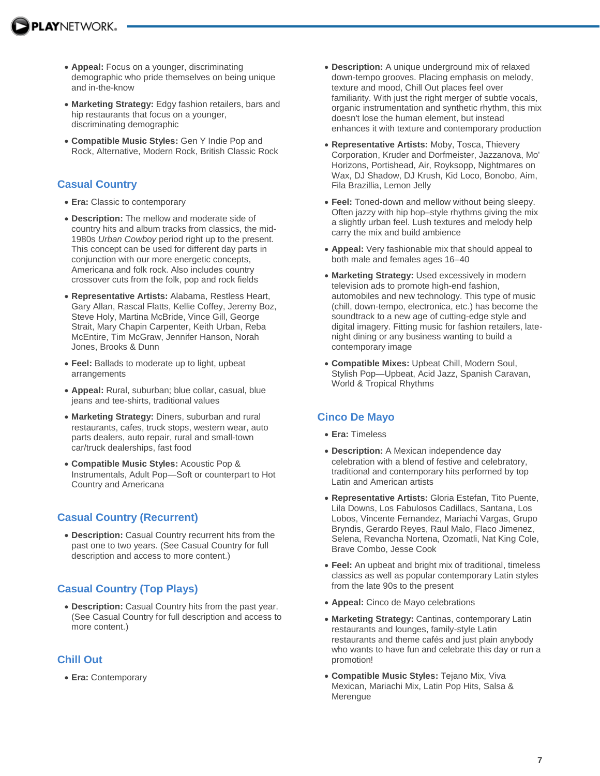- **Appeal:** Focus on a younger, discriminating demographic who pride themselves on being unique and in-the-know
- **Marketing Strategy:** Edgy fashion retailers, bars and hip restaurants that focus on a younger, discriminating demographic
- **Compatible Music Styles:** Gen Y Indie Pop and Rock, Alternative, Modern Rock, British Classic Rock

### **Casual Country**

- **Era:** Classic to contemporary
- **Description:** The mellow and moderate side of country hits and album tracks from classics, the mid-1980s *Urban Cowboy* period right up to the present. This concept can be used for different day parts in conjunction with our more energetic concepts, Americana and folk rock. Also includes country crossover cuts from the folk, pop and rock fields
- **Representative Artists:** Alabama, Restless Heart, Gary Allan, Rascal Flatts, Kellie Coffey, Jeremy Boz, Steve Holy, Martina McBride, Vince Gill, George Strait, Mary Chapin Carpenter, Keith Urban, Reba McEntire, Tim McGraw, Jennifer Hanson, Norah Jones, Brooks & Dunn
- **Feel:** Ballads to moderate up to light, upbeat arrangements
- **Appeal:** Rural, suburban; blue collar, casual, blue jeans and tee-shirts, traditional values
- **Marketing Strategy:** Diners, suburban and rural restaurants, cafes, truck stops, western wear, auto parts dealers, auto repair, rural and small-town car/truck dealerships, fast food
- **Compatible Music Styles:** Acoustic Pop & Instrumentals, Adult Pop—Soft or counterpart to Hot Country and Americana

# **Casual Country (Recurrent)**

 **Description:** Casual Country recurrent hits from the past one to two years. (See Casual Country for full description and access to more content.)

# **Casual Country (Top Plays)**

 **Description:** Casual Country hits from the past year. (See Casual Country for full description and access to more content.)

# **Chill Out**

**Era:** Contemporary

- **Description:** A unique underground mix of relaxed down-tempo grooves. Placing emphasis on melody, texture and mood, Chill Out places feel over familiarity. With just the right merger of subtle vocals, organic instrumentation and synthetic rhythm, this mix doesn't lose the human element, but instead enhances it with texture and contemporary production
- **Representative Artists:** Moby, Tosca, Thievery Corporation, Kruder and Dorfmeister, Jazzanova, Mo' Horizons, Portishead, Air, Royksopp, Nightmares on Wax, DJ Shadow, DJ Krush, Kid Loco, Bonobo, Aim, Fila Brazillia, Lemon Jelly
- **Feel:** Toned-down and mellow without being sleepy. Often jazzy with hip hop–style rhythms giving the mix a slightly urban feel. Lush textures and melody help carry the mix and build ambience
- **Appeal:** Very fashionable mix that should appeal to both male and females ages 16–40
- **Marketing Strategy:** Used excessively in modern television ads to promote high-end fashion, automobiles and new technology. This type of music (chill, down-tempo, electronica, etc.) has become the soundtrack to a new age of cutting-edge style and digital imagery. Fitting music for fashion retailers, latenight dining or any business wanting to build a contemporary image
- **Compatible Mixes:** Upbeat Chill, Modern Soul, Stylish Pop—Upbeat, Acid Jazz, Spanish Caravan, World & Tropical Rhythms

# **Cinco De Mayo**

- **Era:** Timeless
- **Description:** A Mexican independence day celebration with a blend of festive and celebratory, traditional and contemporary hits performed by top Latin and American artists
- **Representative Artists:** Gloria Estefan, Tito Puente, Lila Downs, Los Fabulosos Cadillacs, Santana, Los Lobos, Vincente Fernandez, Mariachi Vargas, Grupo Bryndis, Gerardo Reyes, Raul Malo, Flaco Jimenez, Selena, Revancha Nortena, Ozomatli, Nat King Cole, Brave Combo, Jesse Cook
- **Feel:** An upbeat and bright mix of traditional, timeless classics as well as popular contemporary Latin styles from the late 90s to the present
- **Appeal:** Cinco de Mayo celebrations
- **Marketing Strategy:** Cantinas, contemporary Latin restaurants and lounges, family-style Latin restaurants and theme cafés and just plain anybody who wants to have fun and celebrate this day or run a promotion!
- **Compatible Music Styles:** Tejano Mix, Viva Mexican, Mariachi Mix, Latin Pop Hits, Salsa & **Merengue**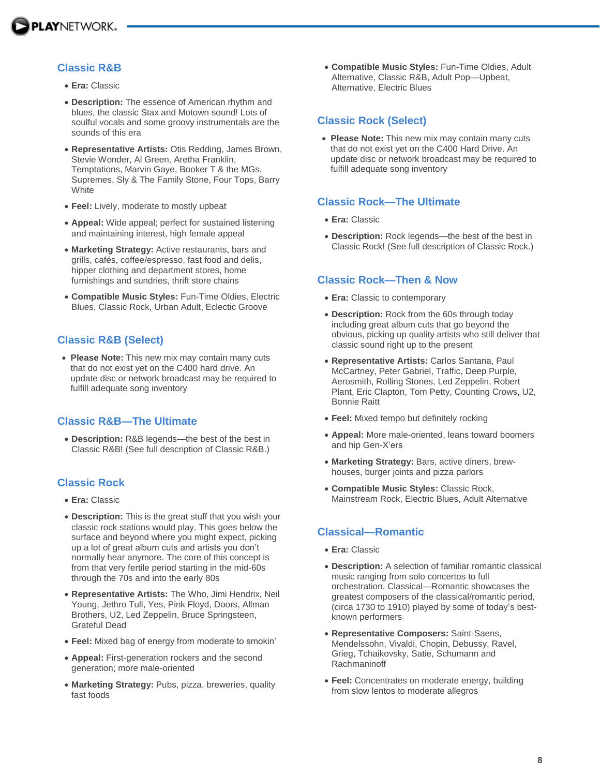

# **Classic R&B**

- **Era:** Classic
- **Description:** The essence of American rhythm and blues, the classic Stax and Motown sound! Lots of soulful vocals and some groovy instrumentals are the sounds of this era
- **Representative Artists:** Otis Redding, James Brown, Stevie Wonder, Al Green, Aretha Franklin, Temptations, Marvin Gaye, Booker T & the MGs, Supremes, Sly & The Family Stone, Four Tops, Barry **White**
- **Feel:** Lively, moderate to mostly upbeat
- **Appeal:** Wide appeal; perfect for sustained listening and maintaining interest, high female appeal
- **Marketing Strategy:** Active restaurants, bars and grills, cafés, coffee/espresso, fast food and delis, hipper clothing and department stores, home furnishings and sundries, thrift store chains
- **Compatible Music Styles:** Fun-Time Oldies, Electric Blues, Classic Rock, Urban Adult, Eclectic Groove

### **Classic R&B (Select)**

 **Please Note:** This new mix may contain many cuts that do not exist yet on the C400 hard drive. An update disc or network broadcast may be required to fulfill adequate song inventory

### **Classic R&B—The Ultimate**

 **Description:** R&B legends—the best of the best in Classic R&B! (See full description of Classic R&B.)

### **Classic Rock**

- **Era:** Classic
- **Description:** This is the great stuff that you wish your classic rock stations would play. This goes below the surface and beyond where you might expect, picking up a lot of great album cuts and artists you don't normally hear anymore. The core of this concept is from that very fertile period starting in the mid-60s through the 70s and into the early 80s
- **Representative Artists:** The Who, Jimi Hendrix, Neil Young, Jethro Tull, Yes, Pink Floyd, Doors, Allman Brothers, U2, Led Zeppelin, Bruce Springsteen, Grateful Dead
- **Feel:** Mixed bag of energy from moderate to smokin'
- **Appeal:** First-generation rockers and the second generation; more male-oriented
- **Marketing Strategy:** Pubs, pizza, breweries, quality fast foods

 **Compatible Music Styles:** Fun-Time Oldies, Adult Alternative, Classic R&B, Adult Pop—Upbeat, Alternative, Electric Blues

#### **Classic Rock (Select)**

 **Please Note:** This new mix may contain many cuts that do not exist yet on the C400 Hard Drive. An update disc or network broadcast may be required to fulfill adequate song inventory

#### **Classic Rock—The Ultimate**

- **Era:** Classic
- **Description:** Rock legends—the best of the best in Classic Rock! (See full description of Classic Rock.)

#### **Classic Rock—Then & Now**

- **Era:** Classic to contemporary
- **Description:** Rock from the 60s through today including great album cuts that go beyond the obvious, picking up quality artists who still deliver that classic sound right up to the present
- **Representative Artists:** Carlos Santana, Paul McCartney, Peter Gabriel, Traffic, Deep Purple, Aerosmith, Rolling Stones, Led Zeppelin, Robert Plant, Eric Clapton, Tom Petty, Counting Crows, U2, Bonnie Raitt
- **Feel:** Mixed tempo but definitely rocking
- **Appeal:** More male-oriented, leans toward boomers and hip Gen-X'ers
- **Marketing Strategy:** Bars, active diners, brewhouses, burger joints and pizza parlors
- **Compatible Music Styles:** Classic Rock, Mainstream Rock, Electric Blues, Adult Alternative

### **Classical—Romantic**

- **Era:** Classic
- **Description:** A selection of familiar romantic classical music ranging from solo concertos to full orchestration. Classical—Romantic showcases the greatest composers of the classical/romantic period, (circa 1730 to 1910) played by some of today's bestknown performers
- **Representative Composers:** Saint-Saens, Mendelssohn, Vivaldi, Chopin, Debussy, Ravel, Grieg, Tchaikovsky, Satie, Schumann and Rachmaninoff
- **Feel:** Concentrates on moderate energy, building from slow lentos to moderate allegros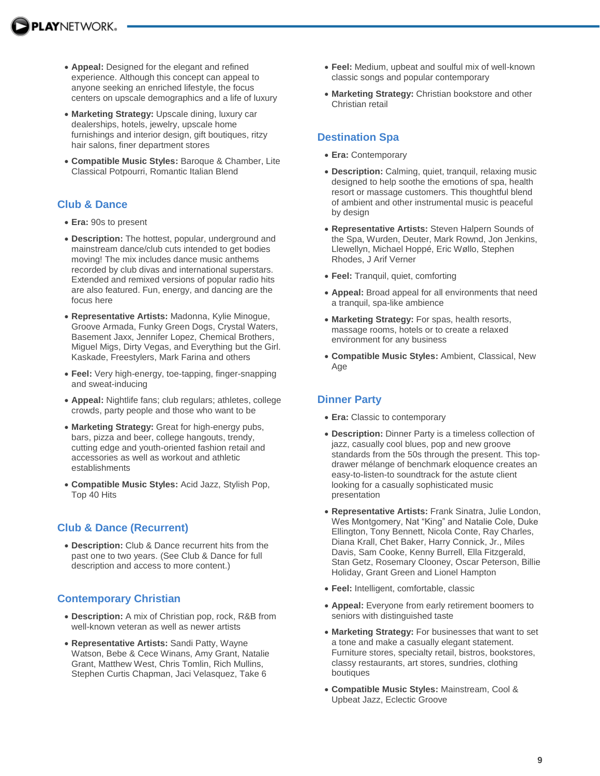- **Appeal:** Designed for the elegant and refined experience. Although this concept can appeal to anyone seeking an enriched lifestyle, the focus centers on upscale demographics and a life of luxury
- **Marketing Strategy:** Upscale dining, luxury car dealerships, hotels, jewelry, upscale home furnishings and interior design, gift boutiques, ritzy hair salons, finer department stores
- **Compatible Music Styles:** Baroque & Chamber, Lite Classical Potpourri, Romantic Italian Blend

### **Club & Dance**

- **Era:** 90s to present
- **Description:** The hottest, popular, underground and mainstream dance/club cuts intended to get bodies moving! The mix includes dance music anthems recorded by club divas and international superstars. Extended and remixed versions of popular radio hits are also featured. Fun, energy, and dancing are the focus here
- **Representative Artists:** Madonna, Kylie Minogue, Groove Armada, Funky Green Dogs, Crystal Waters, Basement Jaxx, Jennifer Lopez, Chemical Brothers, Miguel Migs, Dirty Vegas, and Everything but the Girl. Kaskade, Freestylers, Mark Farina and others
- **Feel:** Very high-energy, toe-tapping, finger-snapping and sweat-inducing
- **Appeal:** Nightlife fans; club regulars; athletes, college crowds, party people and those who want to be
- **Marketing Strategy:** Great for high-energy pubs, bars, pizza and beer, college hangouts, trendy, cutting edge and youth-oriented fashion retail and accessories as well as workout and athletic establishments
- **Compatible Music Styles:** Acid Jazz, Stylish Pop, Top 40 Hits

# **Club & Dance (Recurrent)**

 **Description:** Club & Dance recurrent hits from the past one to two years. (See Club & Dance for full description and access to more content.)

### **Contemporary Christian**

- **Description:** A mix of Christian pop, rock, R&B from well-known veteran as well as newer artists
- **Representative Artists:** Sandi Patty, Wayne Watson, Bebe & Cece Winans, Amy Grant, Natalie Grant, Matthew West, Chris Tomlin, Rich Mullins, Stephen Curtis Chapman, Jaci Velasquez, Take 6
- **Feel:** Medium, upbeat and soulful mix of well-known classic songs and popular contemporary
- **Marketing Strategy:** Christian bookstore and other Christian retail

# **Destination Spa**

- **Era:** Contemporary
- **Description:** Calming, quiet, tranquil, relaxing music designed to help soothe the emotions of spa, health resort or massage customers. This thoughtful blend of ambient and other instrumental music is peaceful by design
- **Representative Artists:** Steven Halpern Sounds of the Spa, Wurden, Deuter, Mark Rownd, Jon Jenkins, Llewellyn, Michael Hoppé, Eric Wøllo, Stephen Rhodes, J Arif Verner
- **Feel:** Tranquil, quiet, comforting
- **Appeal:** Broad appeal for all environments that need a tranquil, spa-like ambience
- **Marketing Strategy:** For spas, health resorts, massage rooms, hotels or to create a relaxed environment for any business
- **Compatible Music Styles:** Ambient, Classical, New Age

# **Dinner Party**

- **Era:** Classic to contemporary
- **Description:** Dinner Party is a timeless collection of jazz, casually cool blues, pop and new groove standards from the 50s through the present. This topdrawer mélange of benchmark eloquence creates an easy-to-listen-to soundtrack for the astute client looking for a casually sophisticated music presentation
- **Representative Artists:** Frank Sinatra, Julie London, Wes Montgomery, Nat "King" and Natalie Cole, Duke Ellington, Tony Bennett, Nicola Conte, Ray Charles, Diana Krall, Chet Baker, Harry Connick, Jr., Miles Davis, Sam Cooke, Kenny Burrell, Ella Fitzgerald, Stan Getz, Rosemary Clooney, Oscar Peterson, Billie Holiday, Grant Green and Lionel Hampton
- **Feel:** Intelligent, comfortable, classic
- **Appeal:** Everyone from early retirement boomers to seniors with distinguished taste
- **Marketing Strategy:** For businesses that want to set a tone and make a casually elegant statement. Furniture stores, specialty retail, bistros, bookstores, classy restaurants, art stores, sundries, clothing boutiques
- **Compatible Music Styles:** Mainstream, Cool & Upbeat Jazz, Eclectic Groove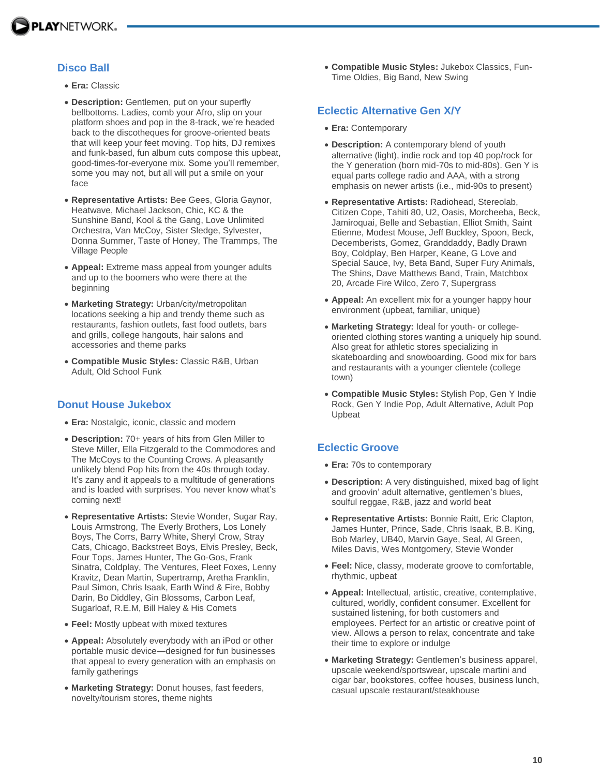

# **Disco Ball**

- **Era:** Classic
- **Description:** Gentlemen, put on your superfly bellbottoms. Ladies, comb your Afro, slip on your platform shoes and pop in the 8-track, we're headed back to the discotheques for groove-oriented beats that will keep your feet moving. Top hits, DJ remixes and funk-based, fun album cuts compose this upbeat, good-times-for-everyone mix. Some you'll remember, some you may not, but all will put a smile on your face
- **Representative Artists:** Bee Gees, Gloria Gaynor, Heatwave, Michael Jackson, Chic, KC & the Sunshine Band, Kool & the Gang, Love Unlimited Orchestra, Van McCoy, Sister Sledge, Sylvester, Donna Summer, Taste of Honey, The Trammps, The Village People
- **Appeal:** Extreme mass appeal from younger adults and up to the boomers who were there at the beginning
- **Marketing Strategy:** Urban/city/metropolitan locations seeking a hip and trendy theme such as restaurants, fashion outlets, fast food outlets, bars and grills, college hangouts, hair salons and accessories and theme parks
- **Compatible Music Styles:** Classic R&B, Urban Adult, Old School Funk

### **Donut House Jukebox**

- **Era:** Nostalgic, iconic, classic and modern
- **Description:** 70+ years of hits from Glen Miller to Steve Miller, Ella Fitzgerald to the Commodores and The McCoys to the Counting Crows. A pleasantly unlikely blend Pop hits from the 40s through today. It's zany and it appeals to a multitude of generations and is loaded with surprises. You never know what's coming next!
- **Representative Artists:** Stevie Wonder, Sugar Ray, Louis Armstrong, The Everly Brothers, Los Lonely Boys, The Corrs, Barry White, Sheryl Crow, Stray Cats, Chicago, Backstreet Boys, Elvis Presley, Beck, Four Tops, James Hunter, The Go-Gos, Frank Sinatra, Coldplay, The Ventures, Fleet Foxes, Lenny Kravitz, Dean Martin, Supertramp, Aretha Franklin, Paul Simon, Chris Isaak, Earth Wind & Fire, Bobby Darin, Bo Diddley, Gin Blossoms, Carbon Leaf, Sugarloaf, R.E.M, Bill Haley & His Comets
- **Feel:** Mostly upbeat with mixed textures
- **Appeal:** Absolutely everybody with an iPod or other portable music device—designed for fun businesses that appeal to every generation with an emphasis on family gatherings
- **Marketing Strategy:** Donut houses, fast feeders, novelty/tourism stores, theme nights

 **Compatible Music Styles:** Jukebox Classics, Fun-Time Oldies, Big Band, New Swing

### **Eclectic Alternative Gen X/Y**

- **Era:** Contemporary
- **Description:** A contemporary blend of youth alternative (light), indie rock and top 40 pop/rock for the Y generation (born mid-70s to mid-80s). Gen Y is equal parts college radio and AAA, with a strong emphasis on newer artists (i.e., mid-90s to present)
- **Representative Artists:** Radiohead, Stereolab, Citizen Cope, Tahiti 80, U2, Oasis, Morcheeba, Beck, Jamiroquai, Belle and Sebastian, Elliot Smith, Saint Etienne, Modest Mouse, Jeff Buckley, Spoon, Beck, Decemberists, Gomez, Granddaddy, Badly Drawn Boy, Coldplay, Ben Harper, Keane, G Love and Special Sauce, Ivy, Beta Band, Super Fury Animals, The Shins, Dave Matthews Band, Train, Matchbox 20, Arcade Fire Wilco, Zero 7, Supergrass
- **Appeal:** An excellent mix for a younger happy hour environment (upbeat, familiar, unique)
- **Marketing Strategy:** Ideal for youth- or collegeoriented clothing stores wanting a uniquely hip sound. Also great for athletic stores specializing in skateboarding and snowboarding. Good mix for bars and restaurants with a younger clientele (college town)
- **Compatible Music Styles:** Stylish Pop, Gen Y Indie Rock, Gen Y Indie Pop, Adult Alternative, Adult Pop Upbeat

# **Eclectic Groove**

- **Era:** 70s to contemporary
- **Description:** A very distinguished, mixed bag of light and groovin' adult alternative, gentlemen's blues, soulful reggae, R&B, jazz and world beat
- **Representative Artists:** Bonnie Raitt, Eric Clapton, James Hunter, Prince, Sade, Chris Isaak, B.B. King, Bob Marley, UB40, Marvin Gaye, Seal, Al Green, Miles Davis, Wes Montgomery, Stevie Wonder
- **Feel:** Nice, classy, moderate groove to comfortable, rhythmic, upbeat
- **Appeal:** Intellectual, artistic, creative, contemplative, cultured, worldly, confident consumer. Excellent for sustained listening, for both customers and employees. Perfect for an artistic or creative point of view. Allows a person to relax, concentrate and take their time to explore or indulge
- **Marketing Strategy:** Gentlemen's business apparel, upscale weekend/sportswear, upscale martini and cigar bar, bookstores, coffee houses, business lunch, casual upscale restaurant/steakhouse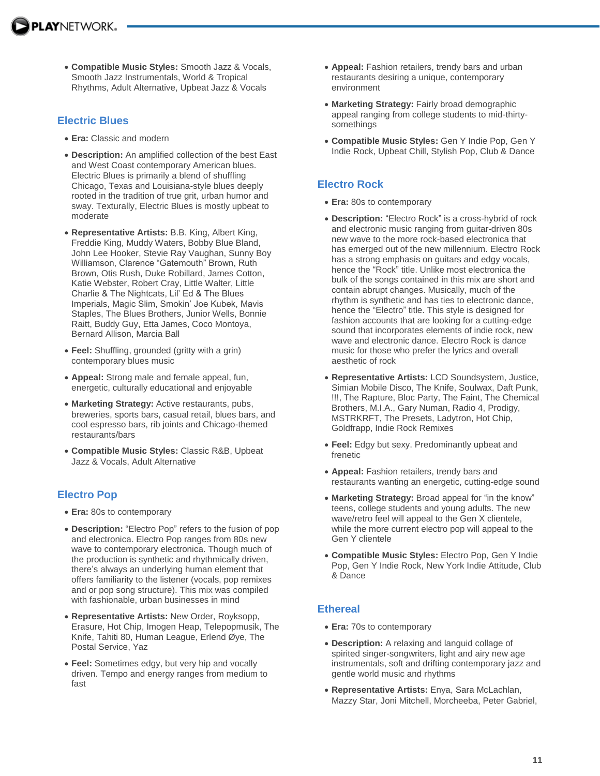**Compatible Music Styles:** Smooth Jazz & Vocals, Smooth Jazz Instrumentals, World & Tropical Rhythms, Adult Alternative, Upbeat Jazz & Vocals

### **Electric Blues**

- **Era:** Classic and modern
- **Description:** An amplified collection of the best East and West Coast contemporary American blues. Electric Blues is primarily a blend of shuffling Chicago, Texas and Louisiana-style blues deeply rooted in the tradition of true grit, urban humor and sway. Texturally, Electric Blues is mostly upbeat to moderate
- **Representative Artists:** B.B. King, Albert King, Freddie King, Muddy Waters, Bobby Blue Bland, John Lee Hooker, Stevie Ray Vaughan, Sunny Boy Williamson, Clarence "Gatemouth" Brown, Ruth Brown, Otis Rush, Duke Robillard, James Cotton, Katie Webster, Robert Cray, Little Walter, Little Charlie & The Nightcats, Lil' Ed & The Blues Imperials, Magic Slim, Smokin' Joe Kubek, Mavis Staples, The Blues Brothers, Junior Wells, Bonnie Raitt, Buddy Guy, Etta James, Coco Montoya, Bernard Allison, Marcia Ball
- **Feel:** Shuffling, grounded (gritty with a grin) contemporary blues music
- **Appeal:** Strong male and female appeal, fun, energetic, culturally educational and enjoyable
- **Marketing Strategy:** Active restaurants, pubs, breweries, sports bars, casual retail, blues bars, and cool espresso bars, rib joints and Chicago-themed restaurants/bars
- **Compatible Music Styles:** Classic R&B, Upbeat Jazz & Vocals, Adult Alternative

# **Electro Pop**

- **Era:** 80s to contemporary
- **Description:** "Electro Pop" refers to the fusion of pop and electronica. Electro Pop ranges from 80s new wave to contemporary electronica. Though much of the production is synthetic and rhythmically driven, there's always an underlying human element that offers familiarity to the listener (vocals, pop remixes and or pop song structure). This mix was compiled with fashionable, urban businesses in mind
- **Representative Artists:** New Order, Royksopp, Erasure, Hot Chip, Imogen Heap, Telepopmusik, The Knife, Tahiti 80, Human League, Erlend Øye, The Postal Service, Yaz
- **Feel:** Sometimes edgy, but very hip and vocally driven. Tempo and energy ranges from medium to fast
- **Appeal:** Fashion retailers, trendy bars and urban restaurants desiring a unique, contemporary environment
- **Marketing Strategy:** Fairly broad demographic appeal ranging from college students to mid-thirtysomethings
- **Compatible Music Styles:** Gen Y Indie Pop, Gen Y Indie Rock, Upbeat Chill, Stylish Pop, Club & Dance

# **Electro Rock**

- **Era:** 80s to contemporary
- **Description:** "Electro Rock" is a cross-hybrid of rock and electronic music ranging from guitar-driven 80s new wave to the more rock-based electronica that has emerged out of the new millennium. Electro Rock has a strong emphasis on guitars and edgy vocals, hence the "Rock" title. Unlike most electronica the bulk of the songs contained in this mix are short and contain abrupt changes. Musically, much of the rhythm is synthetic and has ties to electronic dance, hence the "Electro" title. This style is designed for fashion accounts that are looking for a cutting-edge sound that incorporates elements of indie rock, new wave and electronic dance. Electro Rock is dance music for those who prefer the lyrics and overall aesthetic of rock
- **Representative Artists:** LCD Soundsystem, Justice, Simian Mobile Disco, The Knife, Soulwax, Daft Punk, !!!, The Rapture, Bloc Party, The Faint, The Chemical Brothers, M.I.A., Gary Numan, Radio 4, Prodigy, MSTRKRFT, The Presets, Ladytron, Hot Chip, Goldfrapp, Indie Rock Remixes
- **Feel:** Edgy but sexy. Predominantly upbeat and frenetic
- **Appeal:** Fashion retailers, trendy bars and restaurants wanting an energetic, cutting-edge sound
- **Marketing Strategy:** Broad appeal for "in the know" teens, college students and young adults. The new wave/retro feel will appeal to the Gen X clientele, while the more current electro pop will appeal to the Gen Y clientele
- **Compatible Music Styles:** Electro Pop, Gen Y Indie Pop, Gen Y Indie Rock, New York Indie Attitude, Club & Dance

# **Ethereal**

- **Era:** 70s to contemporary
- **Description:** A relaxing and languid collage of spirited singer-songwriters, light and airy new age instrumentals, soft and drifting contemporary jazz and gentle world music and rhythms
- **Representative Artists:** Enya, Sara McLachlan, Mazzy Star, Joni Mitchell, Morcheeba, Peter Gabriel,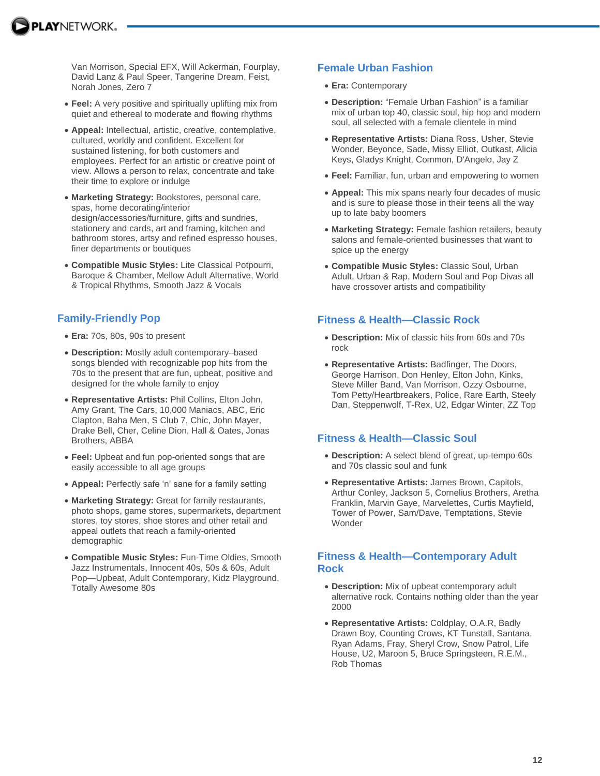Van Morrison, Special EFX, Will Ackerman, Fourplay, David Lanz & Paul Speer, Tangerine Dream, Feist, Norah Jones, Zero 7

- **Feel:** A very positive and spiritually uplifting mix from quiet and ethereal to moderate and flowing rhythms
- **Appeal:** Intellectual, artistic, creative, contemplative, cultured, worldly and confident. Excellent for sustained listening, for both customers and employees. Perfect for an artistic or creative point of view. Allows a person to relax, concentrate and take their time to explore or indulge
- **Marketing Strategy:** Bookstores, personal care, spas, home decorating/interior design/accessories/furniture, gifts and sundries, stationery and cards, art and framing, kitchen and bathroom stores, artsy and refined espresso houses, finer departments or boutiques
- **Compatible Music Styles:** Lite Classical Potpourri, Baroque & Chamber, Mellow Adult Alternative, World & Tropical Rhythms, Smooth Jazz & Vocals

# **Family-Friendly Pop**

- **Era:** 70s, 80s, 90s to present
- **Description:** Mostly adult contemporary–based songs blended with recognizable pop hits from the 70s to the present that are fun, upbeat, positive and designed for the whole family to enjoy
- **Representative Artists:** Phil Collins, Elton John, Amy Grant, The Cars, 10,000 Maniacs, ABC, Eric Clapton, Baha Men, S Club 7, Chic, John Mayer, Drake Bell, Cher, Celine Dion, Hall & Oates, Jonas Brothers, ABBA
- **Feel:** Upbeat and fun pop-oriented songs that are easily accessible to all age groups
- **Appeal:** Perfectly safe 'n' sane for a family setting
- **Marketing Strategy:** Great for family restaurants, photo shops, game stores, supermarkets, department stores, toy stores, shoe stores and other retail and appeal outlets that reach a family-oriented demographic
- **Compatible Music Styles:** Fun-Time Oldies, Smooth Jazz Instrumentals, Innocent 40s, 50s & 60s, Adult Pop—Upbeat, Adult Contemporary, Kidz Playground, Totally Awesome 80s

# **Female Urban Fashion**

- **Era:** Contemporary
- **Description:** "Female Urban Fashion" is a familiar mix of urban top 40, classic soul, hip hop and modern soul, all selected with a female clientele in mind
- **Representative Artists:** Diana Ross, Usher, Stevie Wonder, Beyonce, Sade, Missy Elliot, Outkast, Alicia Keys, Gladys Knight, Common, D'Angelo, Jay Z
- **Feel:** Familiar, fun, urban and empowering to women
- **Appeal:** This mix spans nearly four decades of music and is sure to please those in their teens all the way up to late baby boomers
- **Marketing Strategy:** Female fashion retailers, beauty salons and female-oriented businesses that want to spice up the energy
- **Compatible Music Styles:** Classic Soul, Urban Adult, Urban & Rap, Modern Soul and Pop Divas all have crossover artists and compatibility

### **Fitness & Health—Classic Rock**

- **Description:** Mix of classic hits from 60s and 70s rock
- **Representative Artists:** Badfinger, The Doors, George Harrison, Don Henley, Elton John, Kinks, Steve Miller Band, Van Morrison, Ozzy Osbourne, Tom Petty/Heartbreakers, Police, Rare Earth, Steely Dan, Steppenwolf, T-Rex, U2, Edgar Winter, ZZ Top

### **Fitness & Health—Classic Soul**

- **Description:** A select blend of great, up-tempo 60s and 70s classic soul and funk
- **Representative Artists:** James Brown, Capitols, Arthur Conley, Jackson 5, Cornelius Brothers, Aretha Franklin, Marvin Gaye, Marvelettes, Curtis Mayfield, Tower of Power, Sam/Dave, Temptations, Stevie **Wonder**

### **Fitness & Health—Contemporary Adult Rock**

- **Description:** Mix of upbeat contemporary adult alternative rock. Contains nothing older than the year 2000
- **Representative Artists:** Coldplay, O.A.R, Badly Drawn Boy, Counting Crows, KT Tunstall, Santana, Ryan Adams, Fray, Sheryl Crow, Snow Patrol, Life House, U2, Maroon 5, Bruce Springsteen, R.E.M., Rob Thomas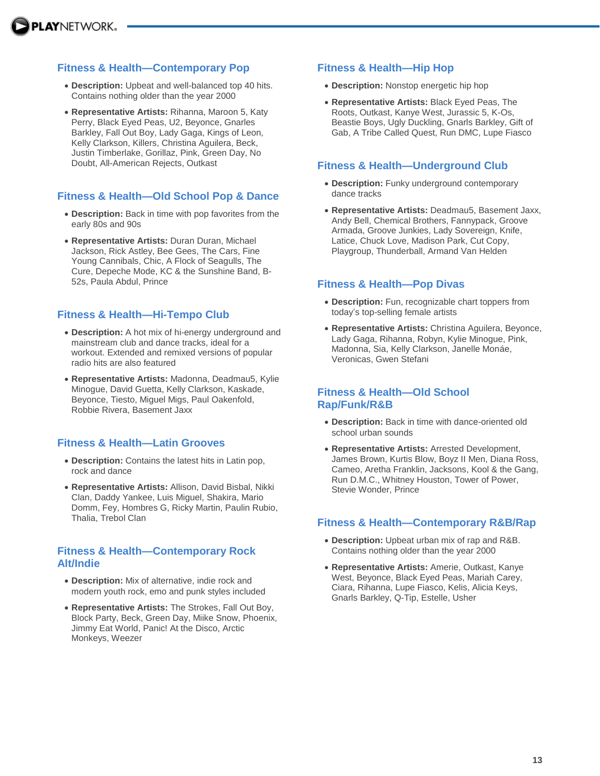### **Fitness & Health—Contemporary Pop**

- **Description:** Upbeat and well-balanced top 40 hits. Contains nothing older than the year 2000
- **Representative Artists:** Rihanna, Maroon 5, Katy Perry, Black Eyed Peas, U2, Beyonce, Gnarles Barkley, Fall Out Boy, Lady Gaga, Kings of Leon, Kelly Clarkson, Killers, Christina Aguilera, Beck, Justin Timberlake, Gorillaz, Pink, Green Day, No Doubt, All-American Rejects, Outkast

### **Fitness & Health—Old School Pop & Dance**

- **Description:** Back in time with pop favorites from the early 80s and 90s
- **Representative Artists:** Duran Duran, Michael Jackson, Rick Astley, Bee Gees, The Cars, Fine Young Cannibals, Chic, A Flock of Seagulls, The Cure, Depeche Mode, KC & the Sunshine Band, B-52s, Paula Abdul, Prince

### **Fitness & Health—Hi-Tempo Club**

- **Description:** A hot mix of hi-energy underground and mainstream club and dance tracks, ideal for a workout. Extended and remixed versions of popular radio hits are also featured
- **Representative Artists:** Madonna, Deadmau5, Kylie Minogue, David Guetta, Kelly Clarkson, Kaskade, Beyonce, Tiesto, Miguel Migs, Paul Oakenfold, Robbie Rivera, Basement Jaxx

### **Fitness & Health—Latin Grooves**

- **Description:** Contains the latest hits in Latin pop, rock and dance
- **Representative Artists:** Allison, David Bisbal, Nikki Clan, Daddy Yankee, Luis Miguel, Shakira, Mario Domm, Fey, Hombres G, Ricky Martin, Paulin Rubio, Thalia, Trebol Clan

#### **Fitness & Health—Contemporary Rock Alt/Indie**

- **Description:** Mix of alternative, indie rock and modern youth rock, emo and punk styles included
- **Representative Artists:** The Strokes, Fall Out Boy, Block Party, Beck, Green Day, Miike Snow, Phoenix, Jimmy Eat World, Panic! At the Disco, Arctic Monkeys, Weezer

### **Fitness & Health—Hip Hop**

- **Description:** Nonstop energetic hip hop
- **Representative Artists:** Black Eyed Peas, The Roots, Outkast, Kanye West, Jurassic 5, K-Os, Beastie Boys, Ugly Duckling, Gnarls Barkley, Gift of Gab, A Tribe Called Quest, Run DMC, Lupe Fiasco

### **Fitness & Health—Underground Club**

- **Description:** Funky underground contemporary dance tracks
- **Representative Artists:** Deadmau5, Basement Jaxx, Andy Bell, Chemical Brothers, Fannypack, Groove Armada, Groove Junkies, Lady Sovereign, Knife, Latice, Chuck Love, Madison Park, Cut Copy, Playgroup, Thunderball, Armand Van Helden

#### **Fitness & Health—Pop Divas**

- **Description:** Fun, recognizable chart toppers from today's top-selling female artists
- **Representative Artists:** Christina Aguilera, Beyonce, Lady Gaga, Rihanna, Robyn, Kylie Minogue, Pink, Madonna, Sia, Kelly Clarkson, Janelle Monáe, Veronicas, Gwen Stefani

#### **Fitness & Health—Old School Rap/Funk/R&B**

- **Description:** Back in time with dance-oriented old school urban sounds
- **Representative Artists:** Arrested Development, James Brown, Kurtis Blow, Boyz II Men, Diana Ross, Cameo, Aretha Franklin, Jacksons, Kool & the Gang, Run D.M.C., Whitney Houston, Tower of Power, Stevie Wonder, Prince

### **Fitness & Health—Contemporary R&B/Rap**

- **Description:** Upbeat urban mix of rap and R&B. Contains nothing older than the year 2000
- **Representative Artists:** Amerie, Outkast, Kanye West, Beyonce, Black Eyed Peas, Mariah Carey, Ciara, Rihanna, Lupe Fiasco, Kelis, Alicia Keys, Gnarls Barkley, Q-Tip, Estelle, Usher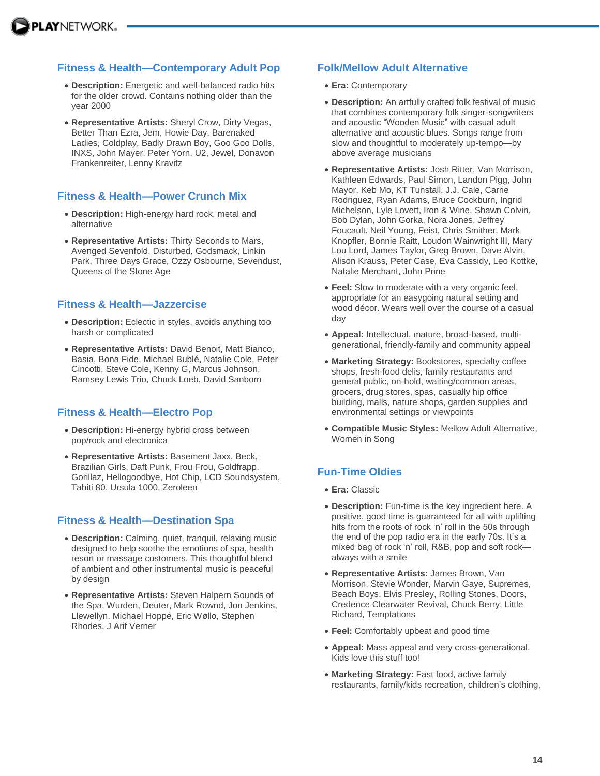### **Fitness & Health—Contemporary Adult Pop**

- **Description:** Energetic and well-balanced radio hits for the older crowd. Contains nothing older than the year 2000
- **Representative Artists:** Sheryl Crow, Dirty Vegas, Better Than Ezra, Jem, Howie Day, Barenaked Ladies, Coldplay, Badly Drawn Boy, Goo Goo Dolls, INXS, John Mayer, Peter Yorn, U2, Jewel, Donavon Frankenreiter, Lenny Kravitz

### **Fitness & Health—Power Crunch Mix**

- **Description:** High-energy hard rock, metal and alternative
- **Representative Artists:** Thirty Seconds to Mars, Avenged Sevenfold, Disturbed, Godsmack, Linkin Park, Three Days Grace, Ozzy Osbourne, Sevendust, Queens of the Stone Age

### **Fitness & Health—Jazzercise**

- **Description:** Eclectic in styles, avoids anything too harsh or complicated
- **Representative Artists:** David Benoit, Matt Bianco, Basia, Bona Fide, Michael Bublé, Natalie Cole, Peter Cincotti, Steve Cole, Kenny G, Marcus Johnson, Ramsey Lewis Trio, Chuck Loeb, David Sanborn

### **Fitness & Health—Electro Pop**

- **Description:** Hi-energy hybrid cross between pop/rock and electronica
- **Representative Artists:** Basement Jaxx, Beck, Brazilian Girls, Daft Punk, Frou Frou, Goldfrapp, Gorillaz, Hellogoodbye, Hot Chip, LCD Soundsystem, Tahiti 80, Ursula 1000, Zeroleen

### **Fitness & Health—Destination Spa**

- **Description:** Calming, quiet, tranquil, relaxing music designed to help soothe the emotions of spa, health resort or massage customers. This thoughtful blend of ambient and other instrumental music is peaceful by design
- **Representative Artists:** Steven Halpern Sounds of the Spa, Wurden, Deuter, Mark Rownd, Jon Jenkins, Llewellyn, Michael Hoppé, Eric Wøllo, Stephen Rhodes, J Arif Verner

### **Folk/Mellow Adult Alternative**

- **Era:** Contemporary
- **Description:** An artfully crafted folk festival of music that combines contemporary folk singer-songwriters and acoustic "Wooden Music" with casual adult alternative and acoustic blues. Songs range from slow and thoughtful to moderately up-tempo—by above average musicians
- **Representative Artists:** Josh Ritter, Van Morrison, Kathleen Edwards, Paul Simon, Landon Pigg, John Mayor, Keb Mo, KT Tunstall, J.J. Cale, Carrie Rodriguez, Ryan Adams, Bruce Cockburn, Ingrid Michelson, Lyle Lovett, Iron & Wine, Shawn Colvin, Bob Dylan, John Gorka, Nora Jones, Jeffrey Foucault, Neil Young, Feist, Chris Smither, Mark Knopfler, Bonnie Raitt, Loudon Wainwright III, Mary Lou Lord, James Taylor, Greg Brown, Dave Alvin, Alison Krauss, Peter Case, Eva Cassidy, Leo Kottke, Natalie Merchant, John Prine
- **Feel:** Slow to moderate with a very organic feel, appropriate for an easygoing natural setting and wood décor. Wears well over the course of a casual day
- **Appeal:** Intellectual, mature, broad-based, multigenerational, friendly-family and community appeal
- **Marketing Strategy:** Bookstores, specialty coffee shops, fresh-food delis, family restaurants and general public, on-hold, waiting/common areas, grocers, drug stores, spas, casually hip office building, malls, nature shops, garden supplies and environmental settings or viewpoints
- **Compatible Music Styles:** Mellow Adult Alternative, Women in Song

# **Fun-Time Oldies**

- **Era:** Classic
- **Description:** Fun-time is the key ingredient here. A positive, good time is guaranteed for all with uplifting hits from the roots of rock 'n' roll in the 50s through the end of the pop radio era in the early 70s. It's a mixed bag of rock 'n' roll, R&B, pop and soft rock always with a smile
- **Representative Artists:** James Brown, Van Morrison, Stevie Wonder, Marvin Gaye, Supremes, Beach Boys, Elvis Presley, Rolling Stones, Doors, Credence Clearwater Revival, Chuck Berry, Little Richard, Temptations
- **Feel:** Comfortably upbeat and good time
- **Appeal:** Mass appeal and very cross-generational. Kids love this stuff too!
- **Marketing Strategy:** Fast food, active family restaurants, family/kids recreation, children's clothing,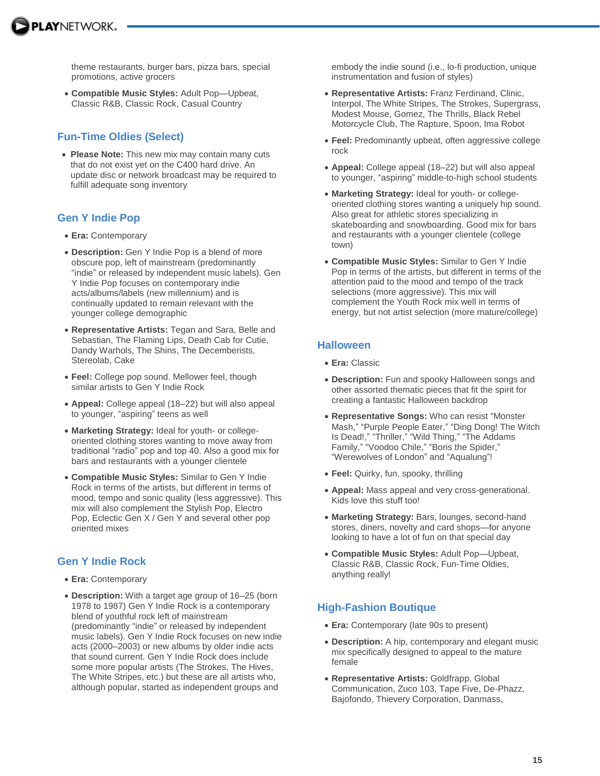

theme restaurants, burger bars, pizza bars, special promotions, active grocers

 **Compatible Music Styles:** Adult Pop—Upbeat, Classic R&B, Classic Rock, Casual Country

# **Fun-Time Oldies (Select)**

 **Please Note:** This new mix may contain many cuts that do not exist yet on the C400 hard drive. An update disc or network broadcast may be required to fulfill adequate song inventory

# **Gen Y Indie Pop**

- **Era:** Contemporary
- **Description:** Gen Y Indie Pop is a blend of more obscure pop, left of mainstream (predominantly "indie" or released by independent music labels). Gen Y Indie Pop focuses on contemporary indie acts/albums/labels (new millennium) and is continually updated to remain relevant with the younger college demographic
- **Representative Artists:** Tegan and Sara, Belle and Sebastian, The Flaming Lips, Death Cab for Cutie, Dandy Warhols, The Shins, The Decemberists, Stereolab, Cake
- **Feel:** College pop sound. Mellower feel, though similar artists to Gen Y Indie Rock
- **Appeal:** College appeal (18–22) but will also appeal to younger, "aspiring" teens as well
- **Marketing Strategy:** Ideal for youth- or collegeoriented clothing stores wanting to move away from traditional "radio" pop and top 40. Also a good mix for bars and restaurants with a younger clientele
- **Compatible Music Styles:** Similar to Gen Y Indie Rock in terms of the artists, but different in terms of mood, tempo and sonic quality (less aggressive). This mix will also complement the Stylish Pop, Electro Pop, Eclectic Gen X / Gen Y and several other pop oriented mixes

# **Gen Y Indie Rock**

- **Era:** Contemporary
- **Description:** With a target age group of 16–25 (born 1978 to 1987) Gen Y Indie Rock is a contemporary blend of youthful rock left of mainstream (predominantly "indie" or released by independent music labels). Gen Y Indie Rock focuses on new indie acts (2000–2003) or new albums by older indie acts that sound current. Gen Y Indie Rock does include some more popular artists (The Strokes, The Hives, The White Stripes, etc.) but these are all artists who, although popular, started as independent groups and

embody the indie sound (i.e., lo-fi production, unique instrumentation and fusion of styles)

- **Representative Artists:** Franz Ferdinand, Clinic, Interpol, The White Stripes, The Strokes, Supergrass, Modest Mouse, Gomez, The Thrills, Black Rebel Motorcycle Club, The Rapture, Spoon, Ima Robot
- **Feel:** Predominantly upbeat, often aggressive college rock
- **Appeal:** College appeal (18–22) but will also appeal to younger, "aspiring" middle-to-high school students
- **Marketing Strategy:** Ideal for youth- or collegeoriented clothing stores wanting a uniquely hip sound. Also great for athletic stores specializing in skateboarding and snowboarding. Good mix for bars and restaurants with a younger clientele (college town)
- **Compatible Music Styles:** Similar to Gen Y Indie Pop in terms of the artists, but different in terms of the attention paid to the mood and tempo of the track selections (more aggressive). This mix will complement the Youth Rock mix well in terms of energy, but not artist selection (more mature/college)

# **Halloween**

- **Era:** Classic
- **Description:** Fun and spooky Halloween songs and other assorted thematic pieces that fit the spirit for creating a fantastic Halloween backdrop
- **Representative Songs:** Who can resist "Monster Mash," "Purple People Eater," "Ding Dong! The Witch Is Dead!," "Thriller," "Wild Thing," "The Addams Family," "Voodoo Chile," "Boris the Spider," "Werewolves of London" and "Aqualung"!
- **Feel:** Quirky, fun, spooky, thrilling
- **Appeal:** Mass appeal and very cross-generational. Kids love this stuff too!
- **Marketing Strategy:** Bars, lounges, second-hand stores, diners, novelty and card shops—for anyone looking to have a lot of fun on that special day
- **Compatible Music Styles:** Adult Pop—Upbeat, Classic R&B, Classic Rock, Fun-Time Oldies, anything really!

# **High-Fashion Boutique**

- **Era:** Contemporary (late 90s to present)
- **Description:** A hip, contemporary and elegant music mix specifically designed to appeal to the mature female
- **Representative Artists:** Goldfrapp, Global Communication, Zuco 103, Tape Five, De-Phazz, Bajofondo, Thievery Corporation, Danmass,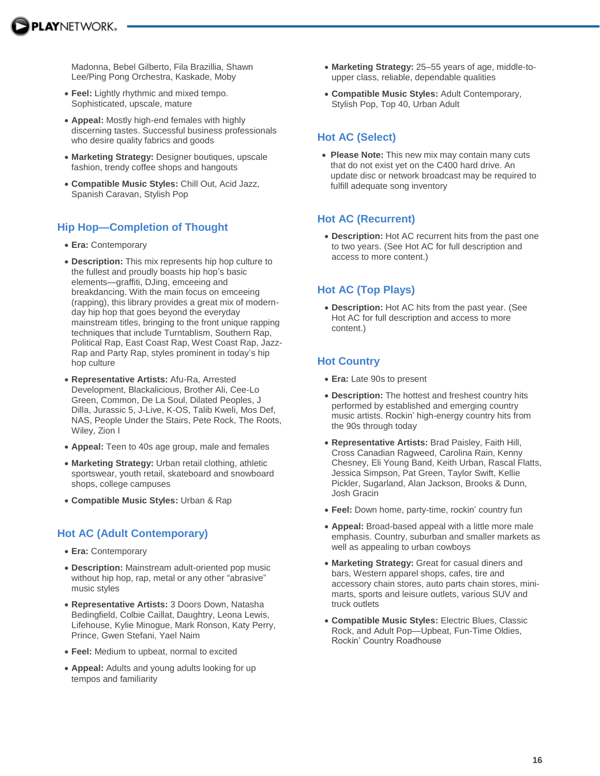

Madonna, Bebel Gilberto, Fila Brazillia, Shawn Lee/Ping Pong Orchestra, Kaskade, Moby

- **Feel:** Lightly rhythmic and mixed tempo. Sophisticated, upscale, mature
- **Appeal:** Mostly high-end females with highly discerning tastes. Successful business professionals who desire quality fabrics and goods
- **Marketing Strategy:** Designer boutiques, upscale fashion, trendy coffee shops and hangouts
- **Compatible Music Styles:** Chill Out, Acid Jazz, Spanish Caravan, Stylish Pop

### **Hip Hop—Completion of Thought**

- **Era:** Contemporary
- **Description:** This mix represents hip hop culture to the fullest and proudly boasts hip hop's basic elements—graffiti, DJing, emceeing and breakdancing. With the main focus on emceeing (rapping), this library provides a great mix of modernday hip hop that goes beyond the everyday mainstream titles, bringing to the front unique rapping techniques that include Turntablism, Southern Rap, Political Rap, East Coast Rap, West Coast Rap, Jazz-Rap and Party Rap, styles prominent in today's hip hop culture
- **Representative Artists:** Afu-Ra, Arrested Development, Blackalicious, Brother Ali, Cee-Lo Green, Common, De La Soul, Dilated Peoples, J Dilla, Jurassic 5, J-Live, K-OS, Talib Kweli, Mos Def, NAS, People Under the Stairs, Pete Rock, The Roots, Wiley, Zion I
- **Appeal:** Teen to 40s age group, male and females
- **Marketing Strategy:** Urban retail clothing, athletic sportswear, youth retail, skateboard and snowboard shops, college campuses
- **Compatible Music Styles:** Urban & Rap

### **Hot AC (Adult Contemporary)**

- **Era:** Contemporary
- **Description:** Mainstream adult-oriented pop music without hip hop, rap, metal or any other "abrasive" music styles
- **Representative Artists:** 3 Doors Down, Natasha Bedingfield, Colbie Caillat, Daughtry, Leona Lewis, Lifehouse, Kylie Minogue, Mark Ronson, Katy Perry, Prince, Gwen Stefani, Yael Naim
- **Feel:** Medium to upbeat, normal to excited
- **Appeal:** Adults and young adults looking for up tempos and familiarity
- **Marketing Strategy:** 25–55 years of age, middle-toupper class, reliable, dependable qualities
- **Compatible Music Styles:** Adult Contemporary, Stylish Pop, Top 40, Urban Adult

### **Hot AC (Select)**

 **Please Note:** This new mix may contain many cuts that do not exist yet on the C400 hard drive. An update disc or network broadcast may be required to fulfill adequate song inventory

### **Hot AC (Recurrent)**

 **Description:** Hot AC recurrent hits from the past one to two years. (See Hot AC for full description and access to more content.)

# **Hot AC (Top Plays)**

 **Description:** Hot AC hits from the past year. (See Hot AC for full description and access to more content.)

### **Hot Country**

- **Era:** Late 90s to present
- **Description:** The hottest and freshest country hits performed by established and emerging country music artists. Rockin' high-energy country hits from the 90s through today
- **Representative Artists:** Brad Paisley, Faith Hill, Cross Canadian Ragweed, Carolina Rain, Kenny Chesney, Eli Young Band, Keith Urban, Rascal Flatts, Jessica Simpson, Pat Green, Taylor Swift, Kellie Pickler, Sugarland, Alan Jackson, Brooks & Dunn, Josh Gracin
- **Feel:** Down home, party-time, rockin' country fun
- **Appeal:** Broad-based appeal with a little more male emphasis. Country, suburban and smaller markets as well as appealing to urban cowboys
- **Marketing Strategy:** Great for casual diners and bars, Western apparel shops, cafes, tire and accessory chain stores, auto parts chain stores, minimarts, sports and leisure outlets, various SUV and truck outlets
- **Compatible Music Styles:** Electric Blues, Classic Rock, and Adult Pop—Upbeat, Fun-Time Oldies, Rockin' Country Roadhouse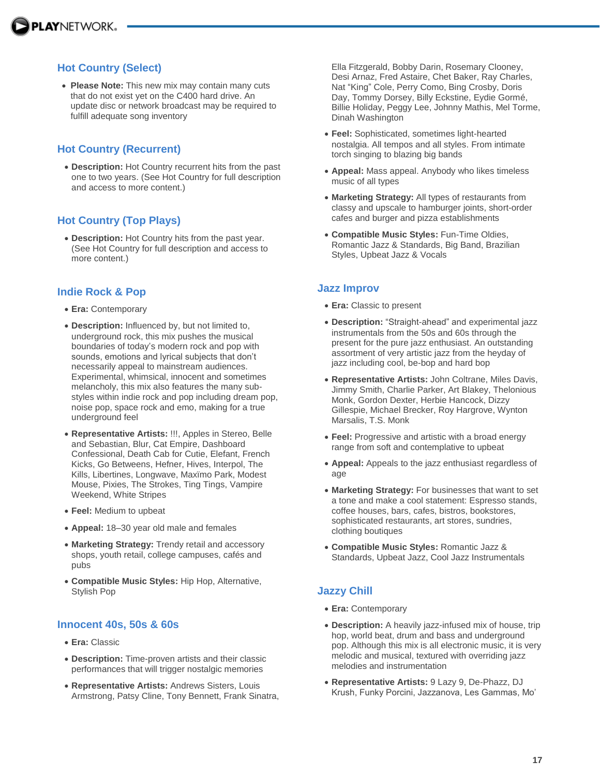# **Hot Country (Select)**

 **Please Note:** This new mix may contain many cuts that do not exist yet on the C400 hard drive. An update disc or network broadcast may be required to fulfill adequate song inventory

# **Hot Country (Recurrent)**

 **Description:** Hot Country recurrent hits from the past one to two years. (See Hot Country for full description and access to more content.)

# **Hot Country (Top Plays)**

 **Description:** Hot Country hits from the past year. (See Hot Country for full description and access to more content.)

### **Indie Rock & Pop**

- **Era:** Contemporary
- **Description:** Influenced by, but not limited to, underground rock, this mix pushes the musical boundaries of today's modern rock and pop with sounds, emotions and lyrical subjects that don't necessarily appeal to mainstream audiences. Experimental, whimsical, innocent and sometimes melancholy, this mix also features the many substyles within indie rock and pop including dream pop, noise pop, space rock and emo, making for a true underground feel
- **Representative Artists:** !!!, Apples in Stereo, Belle and Sebastian, Blur, Cat Empire, Dashboard Confessional, Death Cab for Cutie, Elefant, French Kicks, Go Betweens, Hefner, Hives, Interpol, The Kills, Libertines, Longwave, Maxïmo Park, Modest Mouse, Pixies, The Strokes, Ting Tings, Vampire Weekend, White Stripes
- **Feel:** Medium to upbeat
- **Appeal:** 18–30 year old male and females
- **Marketing Strategy:** Trendy retail and accessory shops, youth retail, college campuses, cafés and pubs
- **Compatible Music Styles:** Hip Hop, Alternative, Stylish Pop

### **Innocent 40s, 50s & 60s**

- **Era:** Classic
- **Description:** Time-proven artists and their classic performances that will trigger nostalgic memories
- **Representative Artists:** Andrews Sisters, Louis Armstrong, Patsy Cline, Tony Bennett, Frank Sinatra,

Ella Fitzgerald, Bobby Darin, Rosemary Clooney, Desi Arnaz, Fred Astaire, Chet Baker, Ray Charles, Nat "King" Cole, Perry Como, Bing Crosby, Doris Day, Tommy Dorsey, Billy Eckstine, Eydie Gormé, Billie Holiday, Peggy Lee, Johnny Mathis, Mel Torme, Dinah Washington

- **Feel:** Sophisticated, sometimes light-hearted nostalgia. All tempos and all styles. From intimate torch singing to blazing big bands
- **Appeal:** Mass appeal. Anybody who likes timeless music of all types
- **Marketing Strategy:** All types of restaurants from classy and upscale to hamburger joints, short-order cafes and burger and pizza establishments
- **Compatible Music Styles:** Fun-Time Oldies, Romantic Jazz & Standards, Big Band, Brazilian Styles, Upbeat Jazz & Vocals

#### **Jazz Improv**

- **Era:** Classic to present
- **Description:** "Straight-ahead" and experimental jazz instrumentals from the 50s and 60s through the present for the pure jazz enthusiast. An outstanding assortment of very artistic jazz from the heyday of jazz including cool, be-bop and hard bop
- **Representative Artists:** John Coltrane, Miles Davis, Jimmy Smith, Charlie Parker, Art Blakey, Thelonious Monk, Gordon Dexter, Herbie Hancock, Dizzy Gillespie, Michael Brecker, Roy Hargrove, Wynton Marsalis, T.S. Monk
- **Feel:** Progressive and artistic with a broad energy range from soft and contemplative to upbeat
- **Appeal:** Appeals to the jazz enthusiast regardless of age
- **Marketing Strategy:** For businesses that want to set a tone and make a cool statement: Espresso stands, coffee houses, bars, cafes, bistros, bookstores, sophisticated restaurants, art stores, sundries, clothing boutiques
- **Compatible Music Styles:** Romantic Jazz & Standards, Upbeat Jazz, Cool Jazz Instrumentals

### **Jazzy Chill**

- **Era:** Contemporary
- **Description:** A heavily jazz-infused mix of house, trip hop, world beat, drum and bass and underground pop. Although this mix is all electronic music, it is very melodic and musical, textured with overriding jazz melodies and instrumentation
- **Representative Artists:** 9 Lazy 9, De-Phazz, DJ Krush, Funky Porcini, Jazzanova, Les Gammas, Mo'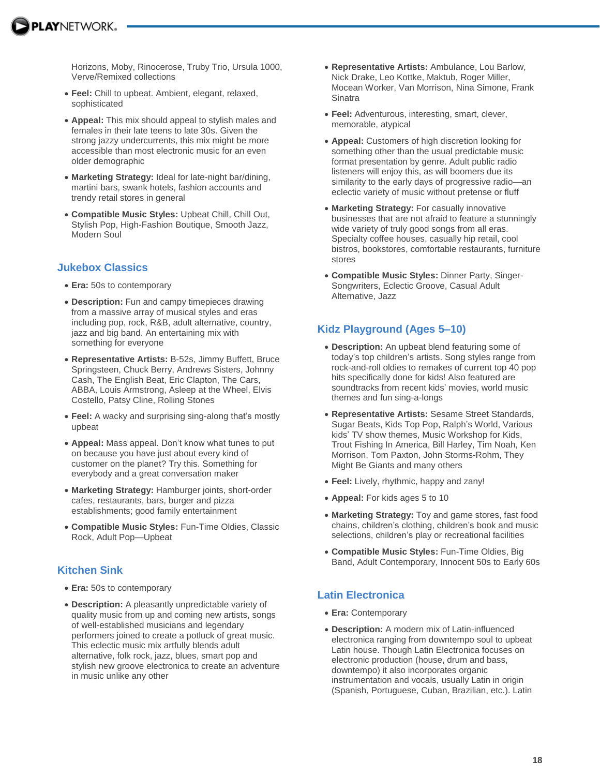Horizons, Moby, Rinocerose, Truby Trio, Ursula 1000, Verve/Remixed collections

- **Feel:** Chill to upbeat. Ambient, elegant, relaxed, sophisticated
- **Appeal:** This mix should appeal to stylish males and females in their late teens to late 30s. Given the strong jazzy undercurrents, this mix might be more accessible than most electronic music for an even older demographic
- **Marketing Strategy:** Ideal for late-night bar/dining, martini bars, swank hotels, fashion accounts and trendy retail stores in general
- **Compatible Music Styles:** Upbeat Chill, Chill Out, Stylish Pop, High-Fashion Boutique, Smooth Jazz, Modern Soul

### **Jukebox Classics**

- **Era:** 50s to contemporary
- **Description:** Fun and campy timepieces drawing from a massive array of musical styles and eras including pop, rock, R&B, adult alternative, country, jazz and big band. An entertaining mix with something for everyone
- **Representative Artists:** B-52s, Jimmy Buffett, Bruce Springsteen, Chuck Berry, Andrews Sisters, Johnny Cash, The English Beat, Eric Clapton, The Cars, ABBA, Louis Armstrong, Asleep at the Wheel, Elvis Costello, Patsy Cline, Rolling Stones
- **Feel:** A wacky and surprising sing-along that's mostly upbeat
- **Appeal:** Mass appeal. Don't know what tunes to put on because you have just about every kind of customer on the planet? Try this. Something for everybody and a great conversation maker
- **Marketing Strategy:** Hamburger joints, short-order cafes, restaurants, bars, burger and pizza establishments; good family entertainment
- **Compatible Music Styles:** Fun-Time Oldies, Classic Rock, Adult Pop—Upbeat

# **Kitchen Sink**

- **Era:** 50s to contemporary
- **Description:** A pleasantly unpredictable variety of quality music from up and coming new artists, songs of well-established musicians and legendary performers joined to create a potluck of great music. This eclectic music mix artfully blends adult alternative, folk rock, jazz, blues, smart pop and stylish new groove electronica to create an adventure in music unlike any other
- **Representative Artists:** Ambulance, Lou Barlow, Nick Drake, Leo Kottke, Maktub, Roger Miller, Mocean Worker, Van Morrison, Nina Simone, Frank **Sinatra**
- **Feel:** Adventurous, interesting, smart, clever, memorable, atypical
- **Appeal:** Customers of high discretion looking for something other than the usual predictable music format presentation by genre. Adult public radio listeners will enjoy this, as will boomers due its similarity to the early days of progressive radio—an eclectic variety of music without pretense or fluff
- **Marketing Strategy:** For casually innovative businesses that are not afraid to feature a stunningly wide variety of truly good songs from all eras. Specialty coffee houses, casually hip retail, cool bistros, bookstores, comfortable restaurants, furniture stores
- **Compatible Music Styles:** Dinner Party, Singer-Songwriters, Eclectic Groove, Casual Adult Alternative, Jazz

# **Kidz Playground (Ages 5–10)**

- **Description:** An upbeat blend featuring some of today's top children's artists. Song styles range from rock-and-roll oldies to remakes of current top 40 pop hits specifically done for kids! Also featured are soundtracks from recent kids' movies, world music themes and fun sing-a-longs
- **Representative Artists:** Sesame Street Standards, Sugar Beats, Kids Top Pop, Ralph's World, Various kids' TV show themes, Music Workshop for Kids, Trout Fishing In America, Bill Harley, Tim Noah, Ken Morrison, Tom Paxton, John Storms-Rohm, They Might Be Giants and many others
- **Feel:** Lively, rhythmic, happy and zany!
- **Appeal:** For kids ages 5 to 10
- **Marketing Strategy:** Toy and game stores, fast food chains, children's clothing, children's book and music selections, children's play or recreational facilities
- **Compatible Music Styles:** Fun-Time Oldies, Big Band, Adult Contemporary, Innocent 50s to Early 60s

# **Latin Electronica**

- **Era:** Contemporary
- **Description:** A modern mix of Latin-influenced electronica ranging from downtempo soul to upbeat Latin house. Though Latin Electronica focuses on electronic production (house, drum and bass, downtempo) it also incorporates organic instrumentation and vocals, usually Latin in origin (Spanish, Portuguese, Cuban, Brazilian, etc.). Latin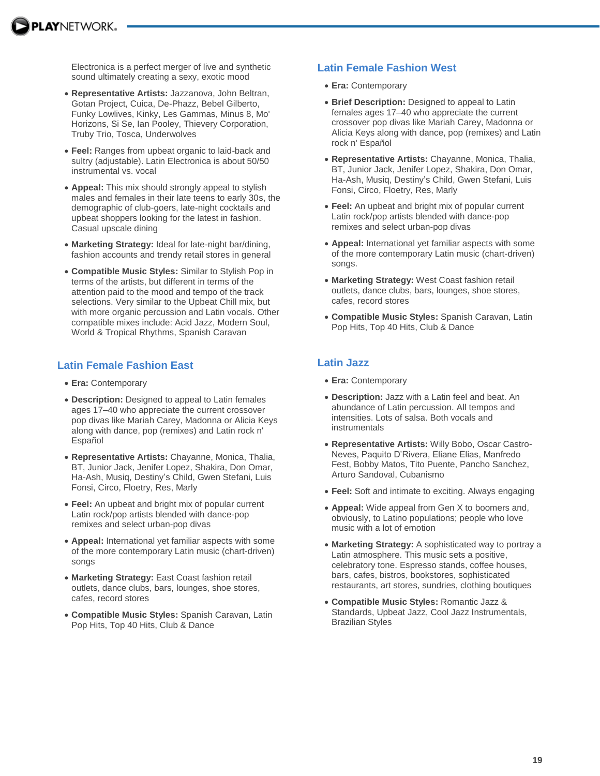Electronica is a perfect merger of live and synthetic sound ultimately creating a sexy, exotic mood

- **Representative Artists:** Jazzanova, John Beltran, Gotan Project, Cuica, De-Phazz, Bebel Gilberto, Funky Lowlives, Kinky, Les Gammas, Minus 8, Mo' Horizons, Si Se, Ian Pooley, Thievery Corporation, Truby Trio, Tosca, Underwolves
- **Feel:** Ranges from upbeat organic to laid-back and sultry (adjustable). Latin Electronica is about 50/50 instrumental vs. vocal
- **Appeal:** This mix should strongly appeal to stylish males and females in their late teens to early 30s, the demographic of club-goers, late-night cocktails and upbeat shoppers looking for the latest in fashion. Casual upscale dining
- **Marketing Strategy:** Ideal for late-night bar/dining, fashion accounts and trendy retail stores in general
- **Compatible Music Styles:** Similar to Stylish Pop in terms of the artists, but different in terms of the attention paid to the mood and tempo of the track selections. Very similar to the Upbeat Chill mix, but with more organic percussion and Latin vocals. Other compatible mixes include: Acid Jazz, Modern Soul, World & Tropical Rhythms, Spanish Caravan

### **Latin Female Fashion East**

- **Era:** Contemporary
- **Description:** Designed to appeal to Latin females ages 17–40 who appreciate the current crossover pop divas like Mariah Carey, Madonna or Alicia Keys along with dance, pop (remixes) and Latin rock n' Español
- **Representative Artists:** Chayanne, Monica, Thalia, BT, Junior Jack, Jenifer Lopez, Shakira, Don Omar, Ha-Ash, Musiq, Destiny's Child, Gwen Stefani, Luis Fonsi, Circo, Floetry, Res, Marly
- **Feel:** An upbeat and bright mix of popular current Latin rock/pop artists blended with dance-pop remixes and select urban-pop divas
- **Appeal:** International yet familiar aspects with some of the more contemporary Latin music (chart-driven) songs
- **Marketing Strategy:** East Coast fashion retail outlets, dance clubs, bars, lounges, shoe stores, cafes, record stores
- **Compatible Music Styles:** Spanish Caravan, Latin Pop Hits, Top 40 Hits, Club & Dance

# **Latin Female Fashion West**

- **Era:** Contemporary
- **Brief Description:** Designed to appeal to Latin females ages 17–40 who appreciate the current crossover pop divas like Mariah Carey, Madonna or Alicia Keys along with dance, pop (remixes) and Latin rock n' Español
- **Representative Artists:** Chayanne, Monica, Thalia, BT, Junior Jack, Jenifer Lopez, Shakira, Don Omar, Ha-Ash, Musiq, Destiny's Child, Gwen Stefani, Luis Fonsi, Circo, Floetry, Res, Marly
- **Feel:** An upbeat and bright mix of popular current Latin rock/pop artists blended with dance-pop remixes and select urban-pop divas
- **Appeal:** International yet familiar aspects with some of the more contemporary Latin music (chart-driven) songs.
- **Marketing Strategy:** West Coast fashion retail outlets, dance clubs, bars, lounges, shoe stores, cafes, record stores
- **Compatible Music Styles:** Spanish Caravan, Latin Pop Hits, Top 40 Hits, Club & Dance

# **Latin Jazz**

- **Era:** Contemporary
- **Description:** Jazz with a Latin feel and beat. An abundance of Latin percussion. All tempos and intensities. Lots of salsa. Both vocals and instrumentals
- **Representative Artists:** Willy Bobo, Oscar Castro-Neves, Paquito D'Rivera, Eliane Elias, Manfredo Fest, Bobby Matos, Tito Puente, Pancho Sanchez, Arturo Sandoval, Cubanismo
- **Feel:** Soft and intimate to exciting. Always engaging
- **Appeal:** Wide appeal from Gen X to boomers and, obviously, to Latino populations; people who love music with a lot of emotion
- **Marketing Strategy:** A sophisticated way to portray a Latin atmosphere. This music sets a positive, celebratory tone. Espresso stands, coffee houses, bars, cafes, bistros, bookstores, sophisticated restaurants, art stores, sundries, clothing boutiques
- **Compatible Music Styles:** Romantic Jazz & Standards, Upbeat Jazz, Cool Jazz Instrumentals, Brazilian Styles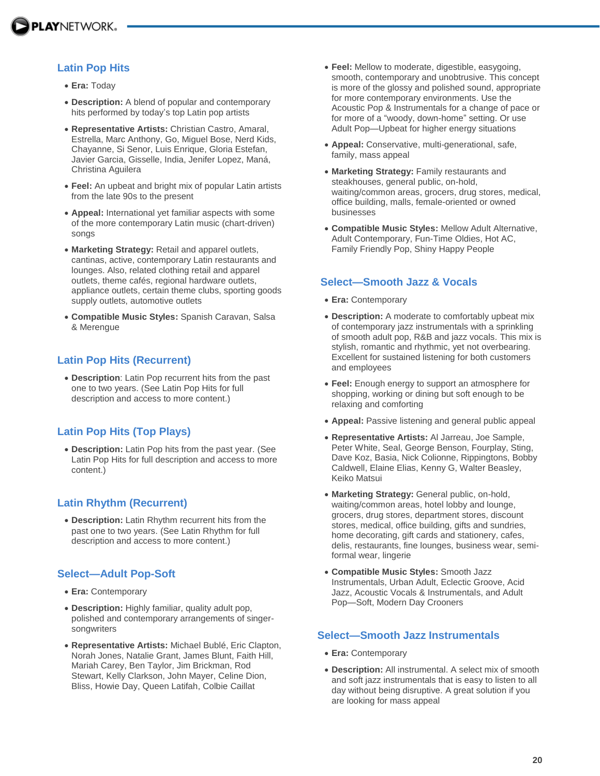

# **Latin Pop Hits**

- **Era:** Today
- **Description:** A blend of popular and contemporary hits performed by today's top Latin pop artists
- **Representative Artists:** Christian Castro, Amaral, Estrella, Marc Anthony, Go, Miguel Bose, Nerd Kids, Chayanne, Si Senor, Luis Enrique, Gloria Estefan, Javier Garcia, Gisselle, India, Jenifer Lopez, Maná, Christina Aguilera
- **Feel:** An upbeat and bright mix of popular Latin artists from the late 90s to the present
- **Appeal:** International yet familiar aspects with some of the more contemporary Latin music (chart-driven) songs
- **Marketing Strategy:** Retail and apparel outlets, cantinas, active, contemporary Latin restaurants and lounges. Also, related clothing retail and apparel outlets, theme cafés, regional hardware outlets, appliance outlets, certain theme clubs, sporting goods supply outlets, automotive outlets
- **Compatible Music Styles:** Spanish Caravan, Salsa & Merengue

# **Latin Pop Hits (Recurrent)**

 **Description**: Latin Pop recurrent hits from the past one to two years. (See Latin Pop Hits for full description and access to more content.)

# **Latin Pop Hits (Top Plays)**

 **Description:** Latin Pop hits from the past year. (See Latin Pop Hits for full description and access to more content.)

### **Latin Rhythm (Recurrent)**

 **Description:** Latin Rhythm recurrent hits from the past one to two years. (See Latin Rhythm for full description and access to more content.)

# **Select—Adult Pop-Soft**

- **Era:** Contemporary
- **Description:** Highly familiar, quality adult pop, polished and contemporary arrangements of singersongwriters
- **Representative Artists:** Michael Bublé, Eric Clapton, Norah Jones, Natalie Grant, James Blunt, Faith Hill, Mariah Carey, Ben Taylor, Jim Brickman, Rod Stewart, Kelly Clarkson, John Mayer, Celine Dion, Bliss, Howie Day, Queen Latifah, Colbie Caillat
- **Feel:** Mellow to moderate, digestible, easygoing, smooth, contemporary and unobtrusive. This concept is more of the glossy and polished sound, appropriate for more contemporary environments. Use the Acoustic Pop & Instrumentals for a change of pace or for more of a "woody, down-home" setting. Or use Adult Pop—Upbeat for higher energy situations
- **Appeal:** Conservative, multi-generational, safe, family, mass appeal
- **Marketing Strategy:** Family restaurants and steakhouses, general public, on-hold, waiting/common areas, grocers, drug stores, medical, office building, malls, female-oriented or owned businesses
- **Compatible Music Styles:** Mellow Adult Alternative, Adult Contemporary, Fun-Time Oldies, Hot AC, Family Friendly Pop, Shiny Happy People

### **Select—Smooth Jazz & Vocals**

- **Era:** Contemporary
- **Description:** A moderate to comfortably upbeat mix of contemporary jazz instrumentals with a sprinkling of smooth adult pop, R&B and jazz vocals. This mix is stylish, romantic and rhythmic, yet not overbearing. Excellent for sustained listening for both customers and employees
- **Feel:** Enough energy to support an atmosphere for shopping, working or dining but soft enough to be relaxing and comforting
- **Appeal:** Passive listening and general public appeal
- **Representative Artists:** Al Jarreau, Joe Sample, Peter White, Seal, George Benson, Fourplay, Sting, Dave Koz, Basia, Nick Colionne, Rippingtons, Bobby Caldwell, Elaine Elias, Kenny G, Walter Beasley, Keiko Matsui
- **Marketing Strategy:** General public, on-hold, waiting/common areas, hotel lobby and lounge, grocers, drug stores, department stores, discount stores, medical, office building, gifts and sundries, home decorating, gift cards and stationery, cafes, delis, restaurants, fine lounges, business wear, semiformal wear, lingerie
- **Compatible Music Styles:** Smooth Jazz Instrumentals, Urban Adult, Eclectic Groove, Acid Jazz, Acoustic Vocals & Instrumentals, and Adult Pop—Soft, Modern Day Crooners

### **Select—Smooth Jazz Instrumentals**

- **Era:** Contemporary
- **Description:** All instrumental. A select mix of smooth and soft jazz instrumentals that is easy to listen to all day without being disruptive. A great solution if you are looking for mass appeal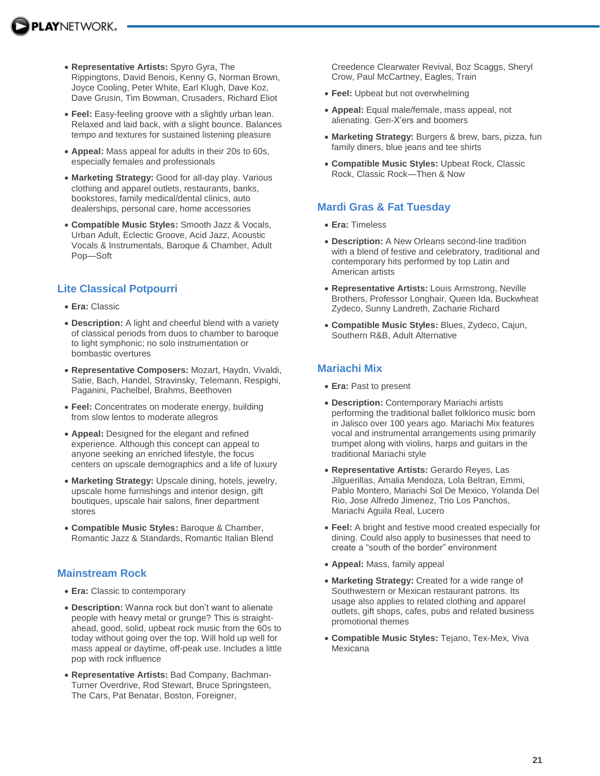- **Representative Artists:** Spyro Gyra, The Rippingtons, David Benois, Kenny G, Norman Brown, Joyce Cooling, Peter White, Earl Klugh, Dave Koz, Dave Grusin, Tim Bowman, Crusaders, Richard Eliot
- **Feel:** Easy-feeling groove with a slightly urban lean. Relaxed and laid back, with a slight bounce. Balances tempo and textures for sustained listening pleasure
- **Appeal:** Mass appeal for adults in their 20s to 60s, especially females and professionals
- **Marketing Strategy:** Good for all-day play. Various clothing and apparel outlets, restaurants, banks, bookstores, family medical/dental clinics, auto dealerships, personal care, home accessories
- **Compatible Music Styles:** Smooth Jazz & Vocals, Urban Adult, Eclectic Groove, Acid Jazz, Acoustic Vocals & Instrumentals, Baroque & Chamber, Adult Pop—Soft

# **Lite Classical Potpourri**

- **Era:** Classic
- **Description:** A light and cheerful blend with a variety of classical periods from duos to chamber to baroque to light symphonic; no solo instrumentation or bombastic overtures
- **Representative Composers:** Mozart, Haydn, Vivaldi, Satie, Bach, Handel, Stravinsky, Telemann, Respighi, Paganini, Pachelbel, Brahms, Beethoven
- **Feel:** Concentrates on moderate energy, building from slow lentos to moderate allegros
- **Appeal:** Designed for the elegant and refined experience. Although this concept can appeal to anyone seeking an enriched lifestyle, the focus centers on upscale demographics and a life of luxury
- **Marketing Strategy:** Upscale dining, hotels, jewelry, upscale home furnishings and interior design, gift boutiques, upscale hair salons, finer department stores
- **Compatible Music Styles:** Baroque & Chamber, Romantic Jazz & Standards, Romantic Italian Blend

# **Mainstream Rock**

- **Era:** Classic to contemporary
- **Description:** Wanna rock but don't want to alienate people with heavy metal or grunge? This is straightahead, good, solid, upbeat rock music from the 60s to today without going over the top. Will hold up well for mass appeal or daytime, off-peak use. Includes a little pop with rock influence
- **Representative Artists:** Bad Company, Bachman-Turner Overdrive, Rod Stewart, Bruce Springsteen, The Cars, Pat Benatar, Boston, Foreigner,

Creedence Clearwater Revival, Boz Scaggs, Sheryl Crow, Paul McCartney, Eagles, Train

- **Feel:** Upbeat but not overwhelming
- **Appeal:** Equal male/female, mass appeal, not alienating. Gen-X'ers and boomers
- **Marketing Strategy:** Burgers & brew, bars, pizza, fun family diners, blue jeans and tee shirts
- **Compatible Music Styles:** Upbeat Rock, Classic Rock, Classic Rock—Then & Now

# **Mardi Gras & Fat Tuesday**

- **Era:** Timeless
- **Description:** A New Orleans second-line tradition with a blend of festive and celebratory, traditional and contemporary hits performed by top Latin and American artists
- **Representative Artists:** Louis Armstrong, Neville Brothers, Professor Longhair, Queen Ida, Buckwheat Zydeco, Sunny Landreth, Zacharie Richard
- **Compatible Music Styles:** Blues, Zydeco, Cajun, Southern R&B, Adult Alternative

# **Mariachi Mix**

- **Era:** Past to present
- **Description:** Contemporary Mariachi artists performing the traditional ballet folklorico music born in Jalisco over 100 years ago. Mariachi Mix features vocal and instrumental arrangements using primarily trumpet along with violins, harps and guitars in the traditional Mariachi style
- **Representative Artists:** Gerardo Reyes, Las Jilguerillas, Amalia Mendoza, Lola Beltran, Emmi, Pablo Montero, Mariachi Sol De Mexico, Yolanda Del Rio, Jose Alfredo Jimenez, Trio Los Panchos, Mariachi Aguila Real, Lucero
- **Feel:** A bright and festive mood created especially for dining. Could also apply to businesses that need to create a "south of the border" environment
- **Appeal:** Mass, family appeal
- **Marketing Strategy:** Created for a wide range of Southwestern or Mexican restaurant patrons. Its usage also applies to related clothing and apparel outlets, gift shops, cafes, pubs and related business promotional themes
- **Compatible Music Styles:** Tejano, Tex-Mex, Viva **Mexicana**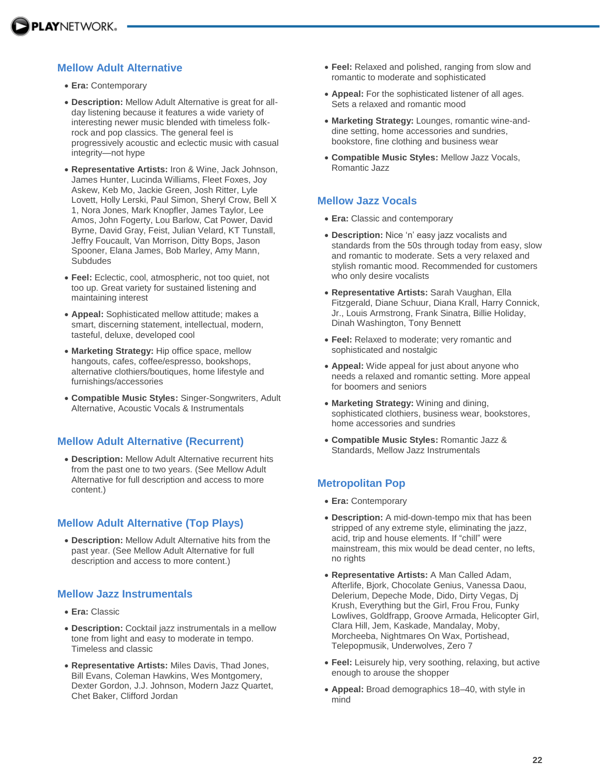# **Mellow Adult Alternative**

- **Era:** Contemporary
- **Description:** Mellow Adult Alternative is great for allday listening because it features a wide variety of interesting newer music blended with timeless folkrock and pop classics. The general feel is progressively acoustic and eclectic music with casual integrity—not hype
- **Representative Artists:** Iron & Wine, Jack Johnson, James Hunter, Lucinda Williams, Fleet Foxes, Joy Askew, Keb Mo, Jackie Green, Josh Ritter, Lyle Lovett, Holly Lerski, Paul Simon, Sheryl Crow, Bell X 1, Nora Jones, Mark Knopfler, James Taylor, Lee Amos, John Fogerty, Lou Barlow, Cat Power, David Byrne, David Gray, Feist, Julian Velard, KT Tunstall, Jeffry Foucault, Van Morrison, Ditty Bops, Jason Spooner, Elana James, Bob Marley, Amy Mann, Subdudes
- **Feel:** Eclectic, cool, atmospheric, not too quiet, not too up. Great variety for sustained listening and maintaining interest
- **Appeal:** Sophisticated mellow attitude; makes a smart, discerning statement, intellectual, modern, tasteful, deluxe, developed cool
- **Marketing Strategy:** Hip office space, mellow hangouts, cafes, coffee/espresso, bookshops, alternative clothiers/boutiques, home lifestyle and furnishings/accessories
- **Compatible Music Styles:** Singer-Songwriters, Adult Alternative, Acoustic Vocals & Instrumentals

#### **Mellow Adult Alternative (Recurrent)**

 **Description:** Mellow Adult Alternative recurrent hits from the past one to two years. (See Mellow Adult Alternative for full description and access to more content.)

### **Mellow Adult Alternative (Top Plays)**

 **Description:** Mellow Adult Alternative hits from the past year. (See Mellow Adult Alternative for full description and access to more content.)

#### **Mellow Jazz Instrumentals**

- **Era:** Classic
- **Description:** Cocktail jazz instrumentals in a mellow tone from light and easy to moderate in tempo. Timeless and classic
- **Representative Artists:** Miles Davis, Thad Jones, Bill Evans, Coleman Hawkins, Wes Montgomery, Dexter Gordon, J.J. Johnson, Modern Jazz Quartet, Chet Baker, Clifford Jordan
- **Feel:** Relaxed and polished, ranging from slow and romantic to moderate and sophisticated
- **Appeal:** For the sophisticated listener of all ages. Sets a relaxed and romantic mood
- **Marketing Strategy:** Lounges, romantic wine-anddine setting, home accessories and sundries, bookstore, fine clothing and business wear
- **Compatible Music Styles:** Mellow Jazz Vocals, Romantic Jazz

#### **Mellow Jazz Vocals**

- **Era:** Classic and contemporary
- **Description:** Nice 'n' easy jazz vocalists and standards from the 50s through today from easy, slow and romantic to moderate. Sets a very relaxed and stylish romantic mood. Recommended for customers who only desire vocalists
- **Representative Artists:** Sarah Vaughan, Ella Fitzgerald, Diane Schuur, Diana Krall, Harry Connick, Jr., Louis Armstrong, Frank Sinatra, Billie Holiday, Dinah Washington, Tony Bennett
- **Feel:** Relaxed to moderate; very romantic and sophisticated and nostalgic
- **Appeal:** Wide appeal for just about anyone who needs a relaxed and romantic setting. More appeal for boomers and seniors
- **Marketing Strategy:** Wining and dining, sophisticated clothiers, business wear, bookstores, home accessories and sundries
- **Compatible Music Styles:** Romantic Jazz & Standards, Mellow Jazz Instrumentals

# **Metropolitan Pop**

- **Era:** Contemporary
- **Description:** A mid-down-tempo mix that has been stripped of any extreme style, eliminating the jazz, acid, trip and house elements. If "chill" were mainstream, this mix would be dead center, no lefts, no rights
- **Representative Artists:** A Man Called Adam, Afterlife, Bjork, Chocolate Genius, Vanessa Daou, Delerium, Depeche Mode, Dido, Dirty Vegas, Dj Krush, Everything but the Girl, Frou Frou, Funky Lowlives, Goldfrapp, Groove Armada, Helicopter Girl, Clara Hill, Jem, Kaskade, Mandalay, Moby, Morcheeba, Nightmares On Wax, Portishead, Telepopmusik, Underwolves, Zero 7
- **Feel:** Leisurely hip, very soothing, relaxing, but active enough to arouse the shopper
- **Appeal:** Broad demographics 18–40, with style in mind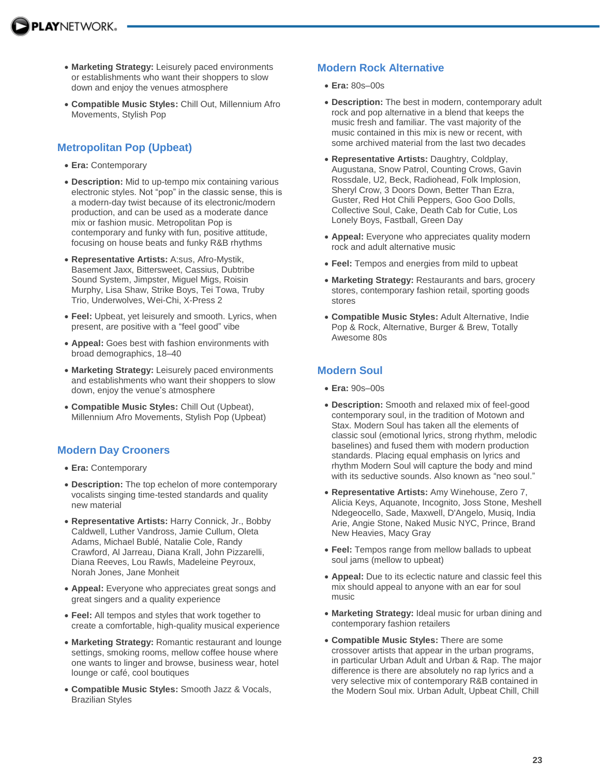- **Marketing Strategy:** Leisurely paced environments or establishments who want their shoppers to slow down and enjoy the venues atmosphere
- **Compatible Music Styles:** Chill Out, Millennium Afro Movements, Stylish Pop

# **Metropolitan Pop (Upbeat)**

- **Era:** Contemporary
- **Description:** Mid to up-tempo mix containing various electronic styles. Not "pop" in the classic sense, this is a modern-day twist because of its electronic/modern production, and can be used as a moderate dance mix or fashion music. Metropolitan Pop is contemporary and funky with fun, positive attitude, focusing on house beats and funky R&B rhythms
- **Representative Artists:** A:sus, Afro-Mystik, Basement Jaxx, Bittersweet, Cassius, Dubtribe Sound System, Jimpster, Miguel Migs, Roisin Murphy, Lisa Shaw, Strike Boys, Tei Towa, Truby Trio, Underwolves, Wei-Chi, X-Press 2
- **Feel:** Upbeat, yet leisurely and smooth. Lyrics, when present, are positive with a "feel good" vibe
- **Appeal:** Goes best with fashion environments with broad demographics, 18–40
- **Marketing Strategy:** Leisurely paced environments and establishments who want their shoppers to slow down, enjoy the venue's atmosphere
- **Compatible Music Styles:** Chill Out (Upbeat), Millennium Afro Movements, Stylish Pop (Upbeat)

# **Modern Day Crooners**

- **Era:** Contemporary
- **Description:** The top echelon of more contemporary vocalists singing time-tested standards and quality new material
- **Representative Artists:** Harry Connick, Jr., Bobby Caldwell, Luther Vandross, Jamie Cullum, Oleta Adams, Michael Bublé, Natalie Cole, Randy Crawford, Al Jarreau, Diana Krall, John Pizzarelli, Diana Reeves, Lou Rawls, Madeleine Peyroux, Norah Jones, Jane Monheit
- **Appeal:** Everyone who appreciates great songs and great singers and a quality experience
- **Feel:** All tempos and styles that work together to create a comfortable, high-quality musical experience
- **Marketing Strategy:** Romantic restaurant and lounge settings, smoking rooms, mellow coffee house where one wants to linger and browse, business wear, hotel lounge or café, cool boutiques
- **Compatible Music Styles:** Smooth Jazz & Vocals, Brazilian Styles

# **Modern Rock Alternative**

- **Era:** 80s–00s
- **Description:** The best in modern, contemporary adult rock and pop alternative in a blend that keeps the music fresh and familiar. The vast majority of the music contained in this mix is new or recent, with some archived material from the last two decades
- **Representative Artists:** Daughtry, Coldplay, Augustana, Snow Patrol, Counting Crows, Gavin Rossdale, U2, Beck, Radiohead, Folk Implosion, Sheryl Crow, 3 Doors Down, Better Than Ezra, Guster, Red Hot Chili Peppers, Goo Goo Dolls, Collective Soul, Cake, Death Cab for Cutie, Los Lonely Boys, Fastball, Green Day
- **Appeal:** Everyone who appreciates quality modern rock and adult alternative music
- **Feel:** Tempos and energies from mild to upbeat
- **Marketing Strategy:** Restaurants and bars, grocery stores, contemporary fashion retail, sporting goods stores
- **Compatible Music Styles:** Adult Alternative, Indie Pop & Rock, Alternative, Burger & Brew, Totally Awesome 80s

# **Modern Soul**

- **Era:** 90s–00s
- **Description:** Smooth and relaxed mix of feel-good contemporary soul, in the tradition of Motown and Stax. Modern Soul has taken all the elements of classic soul (emotional lyrics, strong rhythm, melodic baselines) and fused them with modern production standards. Placing equal emphasis on lyrics and rhythm Modern Soul will capture the body and mind with its seductive sounds. Also known as "neo soul."
- **Representative Artists:** Amy Winehouse, Zero 7, Alicia Keys, Aquanote, Incognito, Joss Stone, Meshell Ndegeocello, Sade, Maxwell, D'Angelo, Musiq, India Arie, Angie Stone, Naked Music NYC, Prince, Brand New Heavies, Macy Gray
- **Feel:** Tempos range from mellow ballads to upbeat soul jams (mellow to upbeat)
- **Appeal:** Due to its eclectic nature and classic feel this mix should appeal to anyone with an ear for soul music
- **Marketing Strategy:** Ideal music for urban dining and contemporary fashion retailers
- **Compatible Music Styles:** There are some crossover artists that appear in the urban programs, in particular Urban Adult and Urban & Rap. The major difference is there are absolutely no rap lyrics and a very selective mix of contemporary R&B contained in the Modern Soul mix. Urban Adult, Upbeat Chill, Chill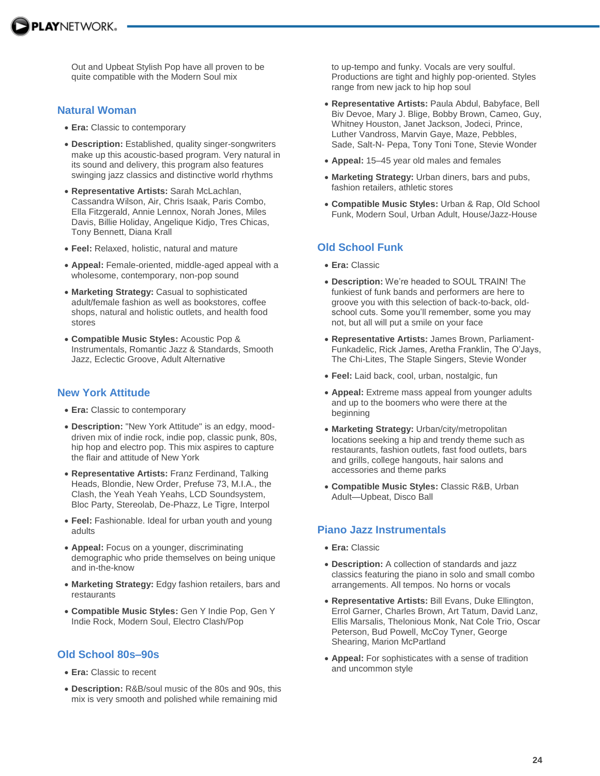

Out and Upbeat Stylish Pop have all proven to be quite compatible with the Modern Soul mix

#### **Natural Woman**

- **Era:** Classic to contemporary
- **Description:** Established, quality singer-songwriters make up this acoustic-based program. Very natural in its sound and delivery, this program also features swinging jazz classics and distinctive world rhythms
- **Representative Artists:** Sarah McLachlan, Cassandra Wilson, Air, Chris Isaak, Paris Combo, Ella Fitzgerald, Annie Lennox, Norah Jones, Miles Davis, Billie Holiday, Angelique Kidjo, Tres Chicas, Tony Bennett, Diana Krall
- **Feel:** Relaxed, holistic, natural and mature
- **Appeal:** Female-oriented, middle-aged appeal with a wholesome, contemporary, non-pop sound
- **Marketing Strategy:** Casual to sophisticated adult/female fashion as well as bookstores, coffee shops, natural and holistic outlets, and health food stores
- **Compatible Music Styles:** Acoustic Pop & Instrumentals, Romantic Jazz & Standards, Smooth Jazz, Eclectic Groove, Adult Alternative

#### **New York Attitude**

- **Era:** Classic to contemporary
- **Description:** "New York Attitude" is an edgy, mooddriven mix of indie rock, indie pop, classic punk, 80s, hip hop and electro pop. This mix aspires to capture the flair and attitude of New York
- **Representative Artists:** Franz Ferdinand, Talking Heads, Blondie, New Order, Prefuse 73, M.I.A., the Clash, the Yeah Yeah Yeahs, LCD Soundsystem, Bloc Party, Stereolab, De-Phazz, Le Tigre, Interpol
- **Feel:** Fashionable. Ideal for urban youth and young adults
- **Appeal:** Focus on a younger, discriminating demographic who pride themselves on being unique and in-the-know
- **Marketing Strategy:** Edgy fashion retailers, bars and restaurants
- **Compatible Music Styles:** Gen Y Indie Pop, Gen Y Indie Rock, Modern Soul, Electro Clash/Pop

#### **Old School 80s–90s**

- **Era:** Classic to recent
- **Description:** R&B/soul music of the 80s and 90s, this mix is very smooth and polished while remaining mid

to up-tempo and funky. Vocals are very soulful. Productions are tight and highly pop-oriented. Styles range from new jack to hip hop soul

- **Representative Artists:** Paula Abdul, Babyface, Bell Biv Devoe, Mary J. Blige, Bobby Brown, Cameo, Guy, Whitney Houston, Janet Jackson, Jodeci, Prince, Luther Vandross, Marvin Gaye, Maze, Pebbles, Sade, Salt-N- Pepa, Tony Toni Tone, Stevie Wonder
- **Appeal:** 15–45 year old males and females
- **Marketing Strategy:** Urban diners, bars and pubs, fashion retailers, athletic stores
- **Compatible Music Styles:** Urban & Rap, Old School Funk, Modern Soul, Urban Adult, House/Jazz-House

### **Old School Funk**

- **Era:** Classic
- **Description:** We're headed to SOUL TRAIN! The funkiest of funk bands and performers are here to groove you with this selection of back-to-back, oldschool cuts. Some you'll remember, some you may not, but all will put a smile on your face
- **Representative Artists:** James Brown, Parliament-Funkadelic, Rick James, Aretha Franklin, The O'Jays, The Chi-Lites, The Staple Singers, Stevie Wonder
- **Feel:** Laid back, cool, urban, nostalgic, fun
- **Appeal:** Extreme mass appeal from younger adults and up to the boomers who were there at the beginning
- **Marketing Strategy:** Urban/city/metropolitan locations seeking a hip and trendy theme such as restaurants, fashion outlets, fast food outlets, bars and grills, college hangouts, hair salons and accessories and theme parks
- **Compatible Music Styles:** Classic R&B, Urban Adult—Upbeat, Disco Ball

#### **Piano Jazz Instrumentals**

- **Era:** Classic
- **Description:** A collection of standards and jazz classics featuring the piano in solo and small combo arrangements. All tempos. No horns or vocals
- **Representative Artists:** Bill Evans, Duke Ellington, Errol Garner, Charles Brown, Art Tatum, David Lanz, Ellis Marsalis, Thelonious Monk, Nat Cole Trio, Oscar Peterson, Bud Powell, McCoy Tyner, George Shearing, Marion McPartland
- **Appeal:** For sophisticates with a sense of tradition and uncommon style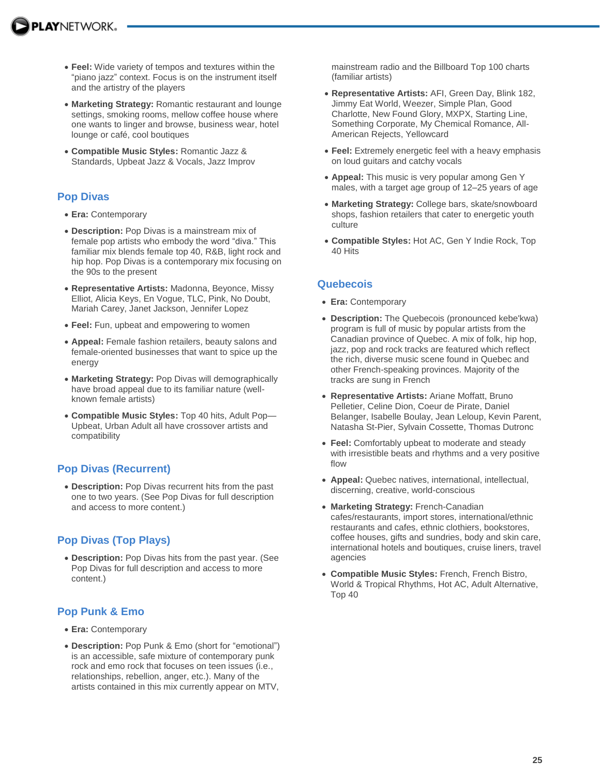- **Feel:** Wide variety of tempos and textures within the "piano jazz" context. Focus is on the instrument itself and the artistry of the players
- **Marketing Strategy:** Romantic restaurant and lounge settings, smoking rooms, mellow coffee house where one wants to linger and browse, business wear, hotel lounge or café, cool boutiques
- **Compatible Music Styles:** Romantic Jazz & Standards, Upbeat Jazz & Vocals, Jazz Improv

# **Pop Divas**

- **Era:** Contemporary
- **Description:** Pop Divas is a mainstream mix of female pop artists who embody the word "diva." This familiar mix blends female top 40, R&B, light rock and hip hop. Pop Divas is a contemporary mix focusing on the 90s to the present
- **Representative Artists:** Madonna, Beyonce, Missy Elliot, Alicia Keys, En Vogue, TLC, Pink, No Doubt, Mariah Carey, Janet Jackson, Jennifer Lopez
- **Feel:** Fun, upbeat and empowering to women
- **Appeal:** Female fashion retailers, beauty salons and female-oriented businesses that want to spice up the energy
- **Marketing Strategy:** Pop Divas will demographically have broad appeal due to its familiar nature (wellknown female artists)
- **Compatible Music Styles:** Top 40 hits, Adult Pop— Upbeat, Urban Adult all have crossover artists and compatibility

# **Pop Divas (Recurrent)**

 **Description:** Pop Divas recurrent hits from the past one to two years. (See Pop Divas for full description and access to more content.)

# **Pop Divas (Top Plays)**

 **Description:** Pop Divas hits from the past year. (See Pop Divas for full description and access to more content.)

# **Pop Punk & Emo**

- **Era:** Contemporary
- **Description:** Pop Punk & Emo (short for "emotional") is an accessible, safe mixture of contemporary punk rock and emo rock that focuses on teen issues (i.e., relationships, rebellion, anger, etc.). Many of the artists contained in this mix currently appear on MTV,

mainstream radio and the Billboard Top 100 charts (familiar artists)

- **Representative Artists:** AFI, Green Day, Blink 182, Jimmy Eat World, Weezer, Simple Plan, Good Charlotte, New Found Glory, MXPX, Starting Line, Something Corporate, My Chemical Romance, All-American Rejects, Yellowcard
- **Feel:** Extremely energetic feel with a heavy emphasis on loud guitars and catchy vocals
- **Appeal:** This music is very popular among Gen Y males, with a target age group of 12–25 years of age
- **Marketing Strategy:** College bars, skate/snowboard shops, fashion retailers that cater to energetic youth culture
- **Compatible Styles:** Hot AC, Gen Y Indie Rock, Top 40 Hits

# **Quebecois**

- **Era:** Contemporary
- **Description:** The Quebecois (pronounced kebe'kwa) program is full of music by popular artists from the Canadian province of Quebec. A mix of folk, hip hop, jazz, pop and rock tracks are featured which reflect the rich, diverse music scene found in Quebec and other French-speaking provinces. Majority of the tracks are sung in French
- **Representative Artists:** Ariane Moffatt, Bruno Pelletier, Celine Dion, Coeur de Pirate, Daniel Belanger, Isabelle Boulay, Jean Leloup, Kevin Parent, Natasha St-Pier, Sylvain Cossette, Thomas Dutronc
- **Feel:** Comfortably upbeat to moderate and steady with irresistible beats and rhythms and a very positive flow
- **Appeal:** Quebec natives, international, intellectual, discerning, creative, world-conscious
- **Marketing Strategy:** French-Canadian cafes/restaurants, import stores, international/ethnic restaurants and cafes, ethnic clothiers, bookstores, coffee houses, gifts and sundries, body and skin care, international hotels and boutiques, cruise liners, travel agencies
- **Compatible Music Styles:** French, French Bistro, World & Tropical Rhythms, Hot AC, Adult Alternative, Top 40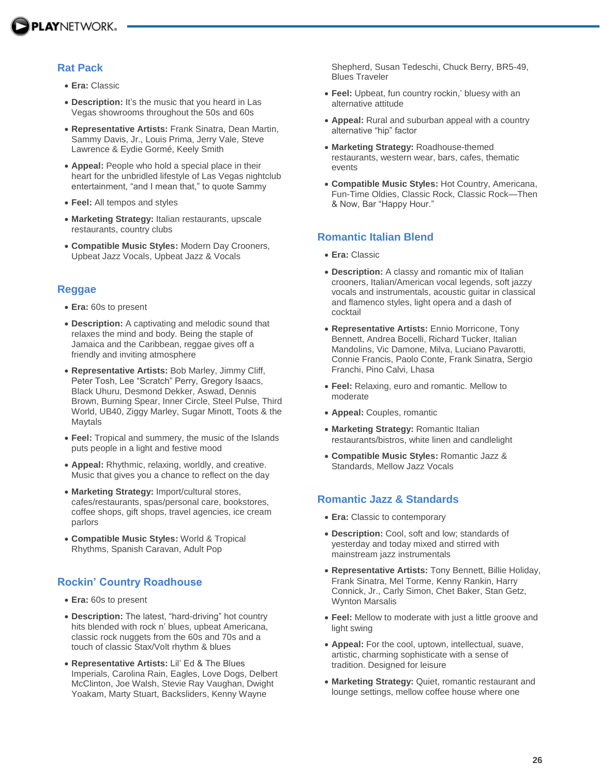

### **Rat Pack**

- **Era:** Classic
- **Description:** It's the music that you heard in Las Vegas showrooms throughout the 50s and 60s
- **Representative Artists:** Frank Sinatra, Dean Martin, Sammy Davis, Jr., Louis Prima, Jerry Vale, Steve Lawrence & Eydie Gormé, Keely Smith
- **Appeal:** People who hold a special place in their heart for the unbridled lifestyle of Las Vegas nightclub entertainment, "and I mean that," to quote Sammy
- **Feel:** All tempos and styles
- **Marketing Strategy:** Italian restaurants, upscale restaurants, country clubs
- **Compatible Music Styles:** Modern Day Crooners, Upbeat Jazz Vocals, Upbeat Jazz & Vocals

#### **Reggae**

- **Era:** 60s to present
- **Description:** A captivating and melodic sound that relaxes the mind and body. Being the staple of Jamaica and the Caribbean, reggae gives off a friendly and inviting atmosphere
- **Representative Artists:** Bob Marley, Jimmy Cliff, Peter Tosh, Lee "Scratch" Perry, Gregory Isaacs, Black Uhuru, Desmond Dekker, Aswad, Dennis Brown, Burning Spear, Inner Circle, Steel Pulse, Third World, UB40, Ziggy Marley, Sugar Minott, Toots & the Maytals
- **Feel:** Tropical and summery, the music of the Islands puts people in a light and festive mood
- **Appeal:** Rhythmic, relaxing, worldly, and creative. Music that gives you a chance to reflect on the day
- **Marketing Strategy:** Import/cultural stores, cafes/restaurants, spas/personal care, bookstores, coffee shops, gift shops, travel agencies, ice cream parlors
- **Compatible Music Styles:** World & Tropical Rhythms, Spanish Caravan, Adult Pop

### **Rockin' Country Roadhouse**

- **Era:** 60s to present
- **Description:** The latest, "hard-driving" hot country hits blended with rock n' blues, upbeat Americana, classic rock nuggets from the 60s and 70s and a touch of classic Stax/Volt rhythm & blues
- **Representative Artists:** Lil' Ed & The Blues Imperials, Carolina Rain, Eagles, Love Dogs, Delbert McClinton, Joe Walsh, Stevie Ray Vaughan, Dwight Yoakam, Marty Stuart, Backsliders, Kenny Wayne

Shepherd, Susan Tedeschi, Chuck Berry, BR5-49, Blues Traveler

- **Feel:** Upbeat, fun country rockin,' bluesy with an alternative attitude
- **Appeal:** Rural and suburban appeal with a country alternative "hip" factor
- **Marketing Strategy:** Roadhouse-themed restaurants, western wear, bars, cafes, thematic events
- **Compatible Music Styles:** Hot Country, Americana, Fun-Time Oldies, Classic Rock, Classic Rock—Then & Now, Bar "Happy Hour."

# **Romantic Italian Blend**

- **Era:** Classic
- **Description:** A classy and romantic mix of Italian crooners, Italian/American vocal legends, soft jazzy vocals and instrumentals, acoustic guitar in classical and flamenco styles, light opera and a dash of cocktail
- **Representative Artists:** Ennio Morricone, Tony Bennett, Andrea Bocelli, Richard Tucker, Italian Mandolins, Vic Damone, Milva, Luciano Pavarotti, Connie Francis, Paolo Conte, Frank Sinatra, Sergio Franchi, Pino Calvi, Lhasa
- **Feel:** Relaxing, euro and romantic. Mellow to moderate
- **Appeal:** Couples, romantic
- **Marketing Strategy:** Romantic Italian restaurants/bistros, white linen and candlelight
- **Compatible Music Styles:** Romantic Jazz & Standards, Mellow Jazz Vocals

### **Romantic Jazz & Standards**

- **Era:** Classic to contemporary
- **Description:** Cool, soft and low; standards of yesterday and today mixed and stirred with mainstream jazz instrumentals
- **Representative Artists:** Tony Bennett, Billie Holiday, Frank Sinatra, Mel Torme, Kenny Rankin, Harry Connick, Jr., Carly Simon, Chet Baker, Stan Getz, Wynton Marsalis
- **Feel:** Mellow to moderate with just a little groove and light swing
- **Appeal:** For the cool, uptown, intellectual, suave, artistic, charming sophisticate with a sense of tradition. Designed for leisure
- **Marketing Strategy:** Quiet, romantic restaurant and lounge settings, mellow coffee house where one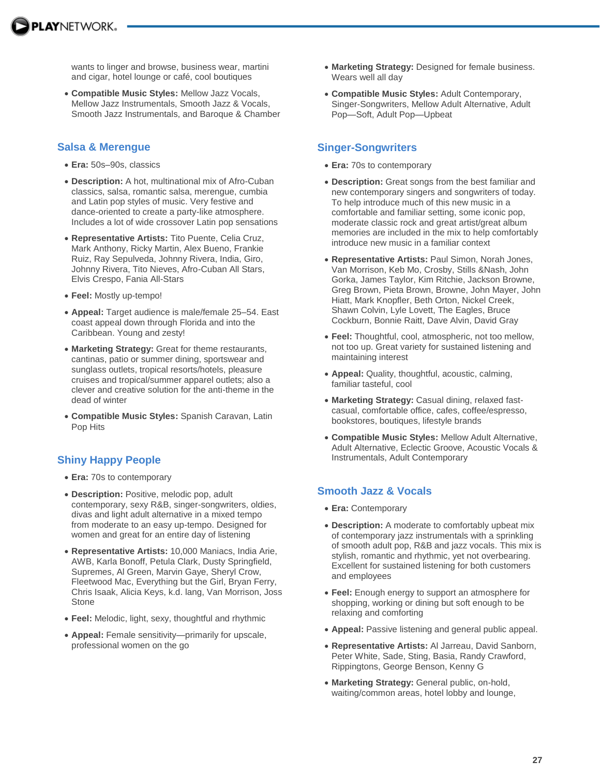wants to linger and browse, business wear, martini and cigar, hotel lounge or café, cool boutiques

 **Compatible Music Styles:** Mellow Jazz Vocals, Mellow Jazz Instrumentals, Smooth Jazz & Vocals, Smooth Jazz Instrumentals, and Baroque & Chamber

#### **Salsa & Merengue**

- **Era:** 50s–90s, classics
- **Description:** A hot, multinational mix of Afro-Cuban classics, salsa, romantic salsa, merengue, cumbia and Latin pop styles of music. Very festive and dance-oriented to create a party-like atmosphere. Includes a lot of wide crossover Latin pop sensations
- **Representative Artists:** Tito Puente, Celia Cruz, Mark Anthony, Ricky Martin, Alex Bueno, Frankie Ruiz, Ray Sepulveda, Johnny Rivera, India, Giro, Johnny Rivera, Tito Nieves, Afro-Cuban All Stars, Elvis Crespo, Fania All-Stars
- **Feel:** Mostly up-tempo!
- **Appeal:** Target audience is male/female 25–54. East coast appeal down through Florida and into the Caribbean. Young and zesty!
- **Marketing Strategy:** Great for theme restaurants, cantinas, patio or summer dining, sportswear and sunglass outlets, tropical resorts/hotels, pleasure cruises and tropical/summer apparel outlets; also a clever and creative solution for the anti-theme in the dead of winter
- **Compatible Music Styles:** Spanish Caravan, Latin Pop Hits

# **Shiny Happy People**

- **Era:** 70s to contemporary
- **Description:** Positive, melodic pop, adult contemporary, sexy R&B, singer-songwriters, oldies, divas and light adult alternative in a mixed tempo from moderate to an easy up-tempo. Designed for women and great for an entire day of listening
- **Representative Artists:** 10,000 Maniacs, India Arie, AWB, Karla Bonoff, Petula Clark, Dusty Springfield, Supremes, Al Green, Marvin Gaye, Sheryl Crow, Fleetwood Mac, Everything but the Girl, Bryan Ferry, Chris Isaak, Alicia Keys, k.d. lang, Van Morrison, Joss **Stone**
- **Feel:** Melodic, light, sexy, thoughtful and rhythmic
- **Appeal:** Female sensitivity—primarily for upscale, professional women on the go
- **Marketing Strategy:** Designed for female business. Wears well all day
- **Compatible Music Styles:** Adult Contemporary, Singer-Songwriters, Mellow Adult Alternative, Adult Pop—Soft, Adult Pop—Upbeat

### **Singer-Songwriters**

- **Era:** 70s to contemporary
- **Description:** Great songs from the best familiar and new contemporary singers and songwriters of today. To help introduce much of this new music in a comfortable and familiar setting, some iconic pop, moderate classic rock and great artist/great album memories are included in the mix to help comfortably introduce new music in a familiar context
- **Representative Artists:** Paul Simon, Norah Jones, Van Morrison, Keb Mo, Crosby, Stills &Nash, John Gorka, James Taylor, Kim Ritchie, Jackson Browne, Greg Brown, Pieta Brown, Browne, John Mayer, John Hiatt, Mark Knopfler, Beth Orton, Nickel Creek, Shawn Colvin, Lyle Lovett, The Eagles, Bruce Cockburn, Bonnie Raitt, Dave Alvin, David Gray
- **Feel:** Thoughtful, cool, atmospheric, not too mellow, not too up. Great variety for sustained listening and maintaining interest
- **Appeal:** Quality, thoughtful, acoustic, calming, familiar tasteful, cool
- **Marketing Strategy:** Casual dining, relaxed fastcasual, comfortable office, cafes, coffee/espresso, bookstores, boutiques, lifestyle brands
- **Compatible Music Styles:** Mellow Adult Alternative, Adult Alternative, Eclectic Groove, Acoustic Vocals & Instrumentals, Adult Contemporary

# **Smooth Jazz & Vocals**

- **Era:** Contemporary
- **Description:** A moderate to comfortably upbeat mix of contemporary jazz instrumentals with a sprinkling of smooth adult pop, R&B and jazz vocals. This mix is stylish, romantic and rhythmic, yet not overbearing. Excellent for sustained listening for both customers and employees
- **Feel:** Enough energy to support an atmosphere for shopping, working or dining but soft enough to be relaxing and comforting
- **Appeal:** Passive listening and general public appeal.
- **Representative Artists:** Al Jarreau, David Sanborn, Peter White, Sade, Sting, Basia, Randy Crawford, Rippingtons, George Benson, Kenny G
- **Marketing Strategy:** General public, on-hold, waiting/common areas, hotel lobby and lounge,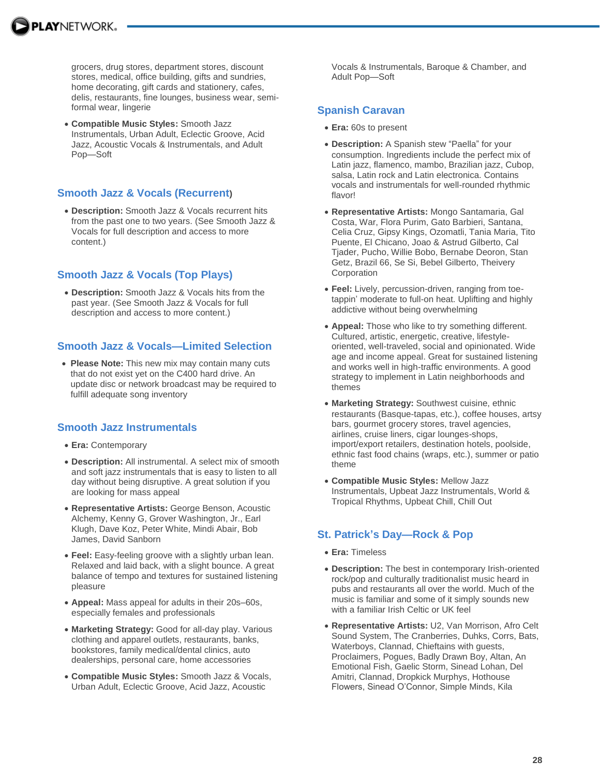

grocers, drug stores, department stores, discount stores, medical, office building, gifts and sundries, home decorating, gift cards and stationery, cafes, delis, restaurants, fine lounges, business wear, semiformal wear, lingerie

 **Compatible Music Styles:** Smooth Jazz Instrumentals, Urban Adult, Eclectic Groove, Acid Jazz, Acoustic Vocals & Instrumentals, and Adult Pop—Soft

### **Smooth Jazz & Vocals (Recurrent)**

 **Description:** Smooth Jazz & Vocals recurrent hits from the past one to two years. (See Smooth Jazz & Vocals for full description and access to more content.)

# **Smooth Jazz & Vocals (Top Plays)**

 **Description:** Smooth Jazz & Vocals hits from the past year. (See Smooth Jazz & Vocals for full description and access to more content.)

### **Smooth Jazz & Vocals—Limited Selection**

 **Please Note:** This new mix may contain many cuts that do not exist yet on the C400 hard drive. An update disc or network broadcast may be required to fulfill adequate song inventory

### **Smooth Jazz Instrumentals**

- **Era:** Contemporary
- **Description:** All instrumental. A select mix of smooth and soft jazz instrumentals that is easy to listen to all day without being disruptive. A great solution if you are looking for mass appeal
- **Representative Artists:** George Benson, Acoustic Alchemy, Kenny G, Grover Washington, Jr., Earl Klugh, Dave Koz, Peter White, Mindi Abair, Bob James, David Sanborn
- **Feel:** Easy-feeling groove with a slightly urban lean. Relaxed and laid back, with a slight bounce. A great balance of tempo and textures for sustained listening pleasure
- **Appeal:** Mass appeal for adults in their 20s–60s, especially females and professionals
- **Marketing Strategy:** Good for all-day play. Various clothing and apparel outlets, restaurants, banks, bookstores, family medical/dental clinics, auto dealerships, personal care, home accessories
- **Compatible Music Styles:** Smooth Jazz & Vocals, Urban Adult, Eclectic Groove, Acid Jazz, Acoustic

Vocals & Instrumentals, Baroque & Chamber, and Adult Pop—Soft

### **Spanish Caravan**

- **Era:** 60s to present
- **Description:** A Spanish stew "Paella" for your consumption. Ingredients include the perfect mix of Latin jazz, flamenco, mambo, Brazilian jazz, Cubop, salsa, Latin rock and Latin electronica. Contains vocals and instrumentals for well-rounded rhythmic flavor!
- **Representative Artists:** Mongo Santamaria, Gal Costa, War, Flora Purim, Gato Barbieri, Santana, Celia Cruz, Gipsy Kings, Ozomatli, Tania Maria, Tito Puente, El Chicano, Joao & Astrud Gilberto, Cal Tjader, Pucho, Willie Bobo, Bernabe Deoron, Stan Getz, Brazil 66, Se Si, Bebel Gilberto, Theivery **Corporation**
- **Feel:** Lively, percussion-driven, ranging from toetappin' moderate to full-on heat. Uplifting and highly addictive without being overwhelming
- **Appeal:** Those who like to try something different. Cultured, artistic, energetic, creative, lifestyleoriented, well-traveled, social and opinionated. Wide age and income appeal. Great for sustained listening and works well in high-traffic environments. A good strategy to implement in Latin neighborhoods and themes
- **Marketing Strategy:** Southwest cuisine, ethnic restaurants (Basque-tapas, etc.), coffee houses, artsy bars, gourmet grocery stores, travel agencies, airlines, cruise liners, cigar lounges-shops, import/export retailers, destination hotels, poolside, ethnic fast food chains (wraps, etc.), summer or patio theme
- **Compatible Music Styles:** Mellow Jazz Instrumentals, Upbeat Jazz Instrumentals, World & Tropical Rhythms, Upbeat Chill, Chill Out

# **St. Patrick's Day—Rock & Pop**

- **Era:** Timeless
- **Description:** The best in contemporary Irish-oriented rock/pop and culturally traditionalist music heard in pubs and restaurants all over the world. Much of the music is familiar and some of it simply sounds new with a familiar Irish Celtic or UK feel
- **Representative Artists:** U2, Van Morrison, Afro Celt Sound System, The Cranberries, Duhks, Corrs, Bats, Waterboys, Clannad, Chieftains with guests, Proclaimers, Pogues, Badly Drawn Boy, Altan, An Emotional Fish, Gaelic Storm, Sinead Lohan, Del Amitri, Clannad, Dropkick Murphys, Hothouse Flowers, Sinead O'Connor, Simple Minds, Kila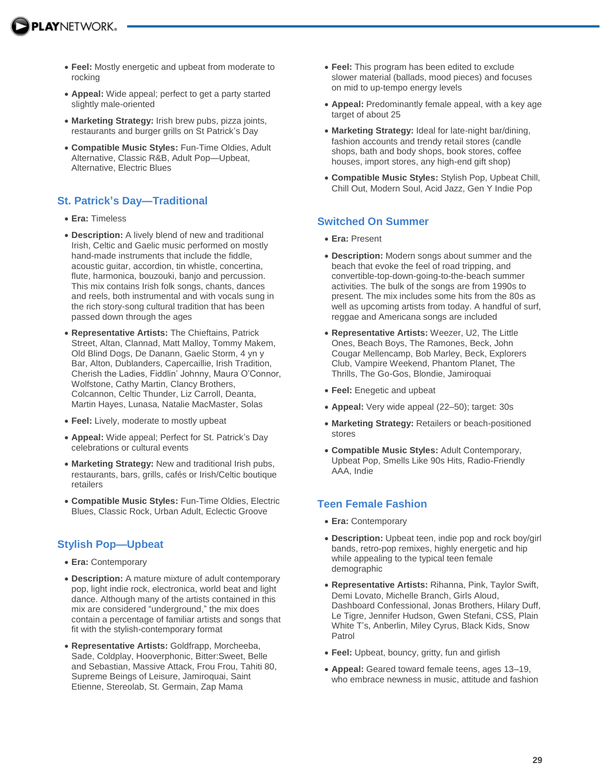- **Feel:** Mostly energetic and upbeat from moderate to rocking
- **Appeal:** Wide appeal; perfect to get a party started slightly male-oriented
- **Marketing Strategy:** Irish brew pubs, pizza joints, restaurants and burger grills on St Patrick's Day
- **Compatible Music Styles:** Fun-Time Oldies, Adult Alternative, Classic R&B, Adult Pop—Upbeat, Alternative, Electric Blues

# **St. Patrick's Day—Traditional**

- **Era:** Timeless
- **Description:** A lively blend of new and traditional Irish, Celtic and Gaelic music performed on mostly hand-made instruments that include the fiddle, acoustic guitar, accordion, tin whistle, concertina, flute, harmonica, bouzouki, banjo and percussion. This mix contains Irish folk songs, chants, dances and reels, both instrumental and with vocals sung in the rich story-song cultural tradition that has been passed down through the ages
- **Representative Artists:** The Chieftains, Patrick Street, Altan, Clannad, Matt Malloy, Tommy Makem, Old Blind Dogs, De Danann, Gaelic Storm, 4 yn y Bar, Alton, Dublanders, Capercaillie, Irish Tradition, Cherish the Ladies, Fiddlin' Johnny, Maura O'Connor, Wolfstone, Cathy Martin, Clancy Brothers, Colcannon, Celtic Thunder, Liz Carroll, Deanta, Martin Hayes, Lunasa, Natalie MacMaster, Solas
- **Feel:** Lively, moderate to mostly upbeat
- **Appeal:** Wide appeal; Perfect for St. Patrick's Day celebrations or cultural events
- **Marketing Strategy:** New and traditional Irish pubs, restaurants, bars, grills, cafés or Irish/Celtic boutique retailers
- **Compatible Music Styles:** Fun-Time Oldies, Electric Blues, Classic Rock, Urban Adult, Eclectic Groove

# **Stylish Pop—Upbeat**

- **Era:** Contemporary
- **Description:** A mature mixture of adult contemporary pop, light indie rock, electronica, world beat and light dance. Although many of the artists contained in this mix are considered "underground," the mix does contain a percentage of familiar artists and songs that fit with the stylish-contemporary format
- **Representative Artists:** Goldfrapp, Morcheeba, Sade, Coldplay, Hooverphonic, Bitter:Sweet, Belle and Sebastian, Massive Attack, Frou Frou, Tahiti 80, Supreme Beings of Leisure, Jamiroquai, Saint Etienne, Stereolab, St. Germain, Zap Mama
- **Feel:** This program has been edited to exclude slower material (ballads, mood pieces) and focuses on mid to up-tempo energy levels
- **Appeal:** Predominantly female appeal, with a key age target of about 25
- **Marketing Strategy:** Ideal for late-night bar/dining, fashion accounts and trendy retail stores (candle shops, bath and body shops, book stores, coffee houses, import stores, any high-end gift shop)
- **Compatible Music Styles:** Stylish Pop, Upbeat Chill, Chill Out, Modern Soul, Acid Jazz, Gen Y Indie Pop

# **Switched On Summer**

- **Era:** Present
- **Description:** Modern songs about summer and the beach that evoke the feel of road tripping, and convertible-top-down-going-to-the-beach summer activities. The bulk of the songs are from 1990s to present. The mix includes some hits from the 80s as well as upcoming artists from today. A handful of surf, reggae and Americana songs are included
- **Representative Artists:** Weezer, U2, The Little Ones, Beach Boys, The Ramones, Beck, John Cougar Mellencamp, Bob Marley, Beck, Explorers Club, Vampire Weekend, Phantom Planet, The Thrills, The Go-Gos, Blondie, Jamiroquai
- **Feel:** Enegetic and upbeat
- **Appeal:** Very wide appeal (22–50); target: 30s
- **Marketing Strategy:** Retailers or beach-positioned stores
- **Compatible Music Styles:** Adult Contemporary, Upbeat Pop, Smells Like 90s Hits, Radio-Friendly AAA, Indie

# **Teen Female Fashion**

- **Era:** Contemporary
- **Description:** Upbeat teen, indie pop and rock boy/girl bands, retro-pop remixes, highly energetic and hip while appealing to the typical teen female demographic
- **Representative Artists:** Rihanna, Pink, Taylor Swift, Demi Lovato, Michelle Branch, Girls Aloud, Dashboard Confessional, Jonas Brothers, Hilary Duff, Le Tigre, Jennifer Hudson, Gwen Stefani, CSS, Plain White T's, Anberlin, Miley Cyrus, Black Kids, Snow Patrol
- **Feel:** Upbeat, bouncy, gritty, fun and girlish
- **Appeal:** Geared toward female teens, ages 13–19, who embrace newness in music, attitude and fashion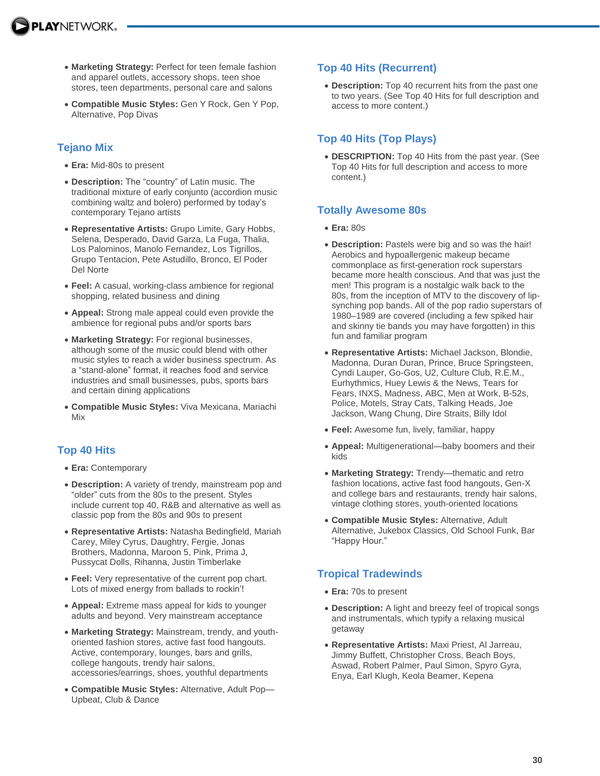- **Marketing Strategy:** Perfect for teen female fashion and apparel outlets, accessory shops, teen shoe stores, teen departments, personal care and salons
- **Compatible Music Styles:** Gen Y Rock, Gen Y Pop, Alternative, Pop Divas

# **Tejano Mix**

- **Era:** Mid-80s to present
- **Description:** The "country" of Latin music. The traditional mixture of early conjunto (accordion music combining waltz and bolero) performed by today's contemporary Tejano artists
- **Representative Artists:** Grupo Limite, Gary Hobbs, Selena, Desperado, David Garza, La Fuga, Thalia, Los Palominos, Manolo Fernandez, Los Tigrillos, Grupo Tentacion, Pete Astudillo, Bronco, El Poder Del Norte
- **Feel:** A casual, working-class ambience for regional shopping, related business and dining
- **Appeal:** Strong male appeal could even provide the ambience for regional pubs and/or sports bars
- **Marketing Strategy:** For regional businesses, although some of the music could blend with other music styles to reach a wider business spectrum. As a "stand-alone" format, it reaches food and service industries and small businesses, pubs, sports bars and certain dining applications
- **Compatible Music Styles:** Viva Mexicana, Mariachi Mix

# **Top 40 Hits**

- **Era:** Contemporary
- **Description:** A variety of trendy, mainstream pop and "older" cuts from the 80s to the present. Styles include current top 40, R&B and alternative as well as classic pop from the 80s and 90s to present
- **Representative Artists:** Natasha Bedingfield, Mariah Carey, Miley Cyrus, Daughtry, Fergie, Jonas Brothers, Madonna, Maroon 5, Pink, Prima J, Pussycat Dolls, Rihanna, Justin Timberlake
- **Feel:** Very representative of the current pop chart. Lots of mixed energy from ballads to rockin'!
- **Appeal:** Extreme mass appeal for kids to younger adults and beyond. Very mainstream acceptance
- **Marketing Strategy:** Mainstream, trendy, and youthoriented fashion stores, active fast food hangouts. Active, contemporary, lounges, bars and grills, college hangouts, trendy hair salons, accessories/earrings, shoes, youthful departments
- **Compatible Music Styles:** Alternative, Adult Pop— Upbeat, Club & Dance

# **Top 40 Hits (Recurrent)**

 **Description:** Top 40 recurrent hits from the past one to two years. (See Top 40 Hits for full description and access to more content.)

# **Top 40 Hits (Top Plays)**

 **DESCRIPTION:** Top 40 Hits from the past year. (See Top 40 Hits for full description and access to more content.)

# **Totally Awesome 80s**

- **Era:** 80s
- **Description:** Pastels were big and so was the hair! Aerobics and hypoallergenic makeup became commonplace as first-generation rock superstars became more health conscious. And that was just the men! This program is a nostalgic walk back to the 80s, from the inception of MTV to the discovery of lipsynching pop bands. All of the pop radio superstars of 1980–1989 are covered (including a few spiked hair and skinny tie bands you may have forgotten) in this fun and familiar program
- **Representative Artists:** Michael Jackson, Blondie, Madonna, Duran Duran, Prince, Bruce Springsteen, Cyndi Lauper, Go-Gos, U2, Culture Club, R.E.M., Eurhythmics, Huey Lewis & the News, Tears for Fears, INXS, Madness, ABC, Men at Work, B-52s, Police, Motels, Stray Cats, Talking Heads, Joe Jackson, Wang Chung, Dire Straits, Billy Idol
- **Feel:** Awesome fun, lively, familiar, happy
- **Appeal:** Multigenerational—baby boomers and their kids
- **Marketing Strategy:** Trendy—thematic and retro fashion locations, active fast food hangouts, Gen-X and college bars and restaurants, trendy hair salons, vintage clothing stores, youth-oriented locations
- **Compatible Music Styles:** Alternative, Adult Alternative, Jukebox Classics, Old School Funk, Bar "Happy Hour."

# **Tropical Tradewinds**

- **Era:** 70s to present
- **Description:** A light and breezy feel of tropical songs and instrumentals, which typify a relaxing musical getaway
- **Representative Artists:** Maxi Priest, Al Jarreau, Jimmy Buffett, Christopher Cross, Beach Boys, Aswad, Robert Palmer, Paul Simon, Spyro Gyra, Enya, Earl Klugh, Keola Beamer, Kepena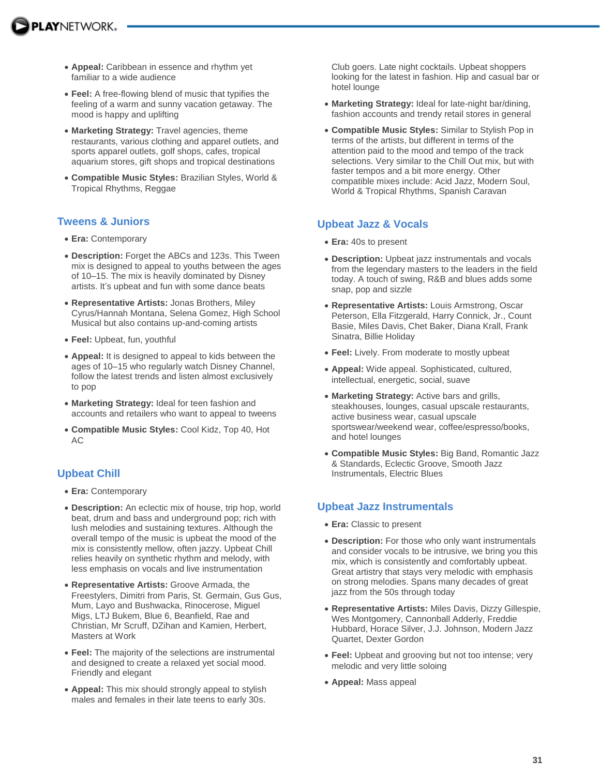- **Appeal:** Caribbean in essence and rhythm yet familiar to a wide audience
- **Feel:** A free-flowing blend of music that typifies the feeling of a warm and sunny vacation getaway. The mood is happy and uplifting
- **Marketing Strategy:** Travel agencies, theme restaurants, various clothing and apparel outlets, and sports apparel outlets, golf shops, cafes, tropical aquarium stores, gift shops and tropical destinations
- **Compatible Music Styles:** Brazilian Styles, World & Tropical Rhythms, Reggae

# **Tweens & Juniors**

- **Era:** Contemporary
- **Description:** Forget the ABCs and 123s. This Tween mix is designed to appeal to youths between the ages of 10–15. The mix is heavily dominated by Disney artists. It's upbeat and fun with some dance beats
- **Representative Artists:** Jonas Brothers, Miley Cyrus/Hannah Montana, Selena Gomez, High School Musical but also contains up-and-coming artists
- **Feel:** Upbeat, fun, youthful
- **Appeal:** It is designed to appeal to kids between the ages of 10–15 who regularly watch Disney Channel, follow the latest trends and listen almost exclusively to pop
- **Marketing Strategy:** Ideal for teen fashion and accounts and retailers who want to appeal to tweens
- **Compatible Music Styles:** Cool Kidz, Top 40, Hot AC

# **Upbeat Chill**

- **Era:** Contemporary
- **Description:** An eclectic mix of house, trip hop, world beat, drum and bass and underground pop; rich with lush melodies and sustaining textures. Although the overall tempo of the music is upbeat the mood of the mix is consistently mellow, often jazzy. Upbeat Chill relies heavily on synthetic rhythm and melody, with less emphasis on vocals and live instrumentation
- **Representative Artists:** Groove Armada, the Freestylers, Dimitri from Paris, St. Germain, Gus Gus, Mum, Layo and Bushwacka, Rinocerose, Miguel Migs, LTJ Bukem, Blue 6, Beanfield, Rae and Christian, Mr Scruff, DZihan and Kamien, Herbert, Masters at Work
- **Feel:** The majority of the selections are instrumental and designed to create a relaxed yet social mood. Friendly and elegant
- **Appeal:** This mix should strongly appeal to stylish males and females in their late teens to early 30s.

Club goers. Late night cocktails. Upbeat shoppers looking for the latest in fashion. Hip and casual bar or hotel lounge

- **Marketing Strategy:** Ideal for late-night bar/dining, fashion accounts and trendy retail stores in general
- **Compatible Music Styles:** Similar to Stylish Pop in terms of the artists, but different in terms of the attention paid to the mood and tempo of the track selections. Very similar to the Chill Out mix, but with faster tempos and a bit more energy. Other compatible mixes include: Acid Jazz, Modern Soul, World & Tropical Rhythms, Spanish Caravan

# **Upbeat Jazz & Vocals**

- **Era:** 40s to present
- **Description:** Upbeat jazz instrumentals and vocals from the legendary masters to the leaders in the field today. A touch of swing, R&B and blues adds some snap, pop and sizzle
- **Representative Artists:** Louis Armstrong, Oscar Peterson, Ella Fitzgerald, Harry Connick, Jr., Count Basie, Miles Davis, Chet Baker, Diana Krall, Frank Sinatra, Billie Holiday
- **Feel:** Lively. From moderate to mostly upbeat
- **Appeal:** Wide appeal. Sophisticated, cultured, intellectual, energetic, social, suave
- **Marketing Strategy:** Active bars and grills, steakhouses, lounges, casual upscale restaurants, active business wear, casual upscale sportswear/weekend wear, coffee/espresso/books, and hotel lounges
- **Compatible Music Styles:** Big Band, Romantic Jazz & Standards, Eclectic Groove, Smooth Jazz Instrumentals, Electric Blues

# **Upbeat Jazz Instrumentals**

- **Era:** Classic to present
- **Description:** For those who only want instrumentals and consider vocals to be intrusive, we bring you this mix, which is consistently and comfortably upbeat. Great artistry that stays very melodic with emphasis on strong melodies. Spans many decades of great jazz from the 50s through today
- **Representative Artists:** Miles Davis, Dizzy Gillespie, Wes Montgomery, Cannonball Adderly, Freddie Hubbard, Horace Silver, J.J. Johnson, Modern Jazz Quartet, Dexter Gordon
- **Feel:** Upbeat and grooving but not too intense; very melodic and very little soloing
- **Appeal:** Mass appeal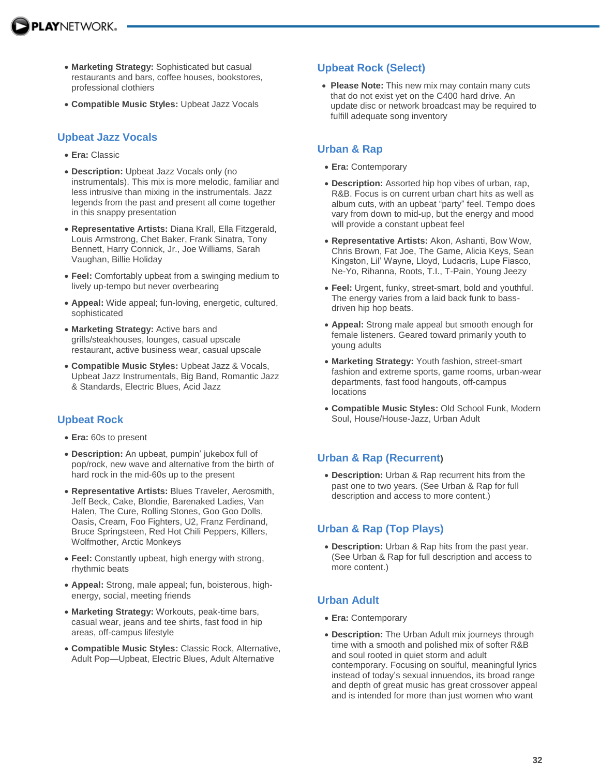- **Marketing Strategy:** Sophisticated but casual restaurants and bars, coffee houses, bookstores, professional clothiers
- **Compatible Music Styles:** Upbeat Jazz Vocals

### **Upbeat Jazz Vocals**

- **Era:** Classic
- **Description:** Upbeat Jazz Vocals only (no instrumentals). This mix is more melodic, familiar and less intrusive than mixing in the instrumentals. Jazz legends from the past and present all come together in this snappy presentation
- **Representative Artists:** Diana Krall, Ella Fitzgerald, Louis Armstrong, Chet Baker, Frank Sinatra, Tony Bennett, Harry Connick, Jr., Joe Williams, Sarah Vaughan, Billie Holiday
- **Feel:** Comfortably upbeat from a swinging medium to lively up-tempo but never overbearing
- **Appeal:** Wide appeal; fun-loving, energetic, cultured, sophisticated
- **Marketing Strategy:** Active bars and grills/steakhouses, lounges, casual upscale restaurant, active business wear, casual upscale
- **Compatible Music Styles:** Upbeat Jazz & Vocals, Upbeat Jazz Instrumentals, Big Band, Romantic Jazz & Standards, Electric Blues, Acid Jazz

### **Upbeat Rock**

- **Era:** 60s to present
- **Description:** An upbeat, pumpin' jukebox full of pop/rock, new wave and alternative from the birth of hard rock in the mid-60s up to the present
- **Representative Artists:** Blues Traveler, Aerosmith, Jeff Beck, Cake, Blondie, Barenaked Ladies, Van Halen, The Cure, Rolling Stones, Goo Goo Dolls, Oasis, Cream, Foo Fighters, U2, Franz Ferdinand, Bruce Springsteen, Red Hot Chili Peppers, Killers, Wolfmother, Arctic Monkeys
- **Feel:** Constantly upbeat, high energy with strong, rhythmic beats
- **Appeal:** Strong, male appeal; fun, boisterous, highenergy, social, meeting friends
- **Marketing Strategy:** Workouts, peak-time bars, casual wear, jeans and tee shirts, fast food in hip areas, off-campus lifestyle
- **Compatible Music Styles:** Classic Rock, Alternative, Adult Pop—Upbeat, Electric Blues, Adult Alternative

# **Upbeat Rock (Select)**

 **Please Note:** This new mix may contain many cuts that do not exist yet on the C400 hard drive. An update disc or network broadcast may be required to fulfill adequate song inventory

# **Urban & Rap**

- **Era:** Contemporary
- **Description:** Assorted hip hop vibes of urban, rap, R&B. Focus is on current urban chart hits as well as album cuts, with an upbeat "party" feel. Tempo does vary from down to mid-up, but the energy and mood will provide a constant upbeat feel
- **Representative Artists:** Akon, Ashanti, Bow Wow, Chris Brown, Fat Joe, The Game, Alicia Keys, Sean Kingston, Lil' Wayne, Lloyd, Ludacris, Lupe Fiasco, Ne-Yo, Rihanna, Roots, T.I., T-Pain, Young Jeezy
- **Feel:** Urgent, funky, street-smart, bold and youthful. The energy varies from a laid back funk to bassdriven hip hop beats.
- **Appeal:** Strong male appeal but smooth enough for female listeners. Geared toward primarily youth to young adults
- **Marketing Strategy:** Youth fashion, street-smart fashion and extreme sports, game rooms, urban-wear departments, fast food hangouts, off-campus locations
- **Compatible Music Styles:** Old School Funk, Modern Soul, House/House-Jazz, Urban Adult

### **Urban & Rap (Recurrent)**

 **Description:** Urban & Rap recurrent hits from the past one to two years. (See Urban & Rap for full description and access to more content.)

# **Urban & Rap (Top Plays)**

 **Description:** Urban & Rap hits from the past year. (See Urban & Rap for full description and access to more content.)

# **Urban Adult**

- **Era:** Contemporary
- **Description:** The Urban Adult mix journeys through time with a smooth and polished mix of softer R&B and soul rooted in quiet storm and adult contemporary. Focusing on soulful, meaningful lyrics instead of today's sexual innuendos, its broad range and depth of great music has great crossover appeal and is intended for more than just women who want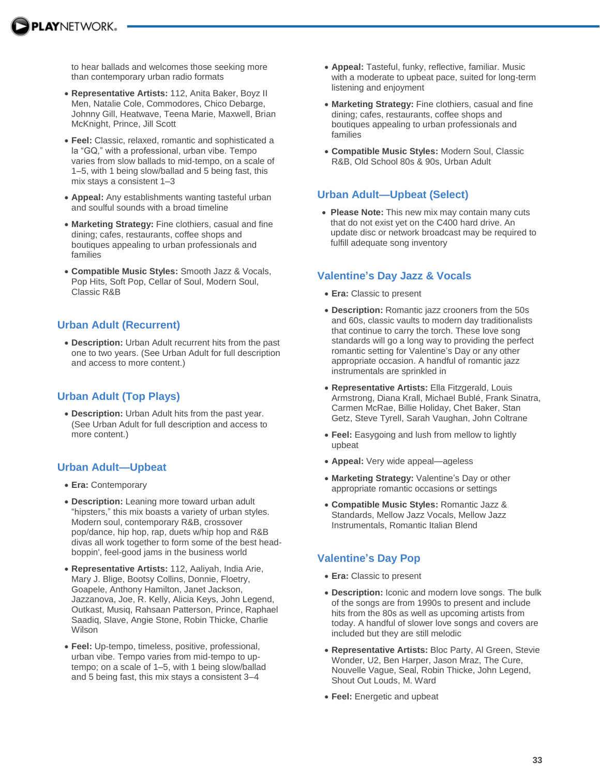

to hear ballads and welcomes those seeking more than contemporary urban radio formats

- **Representative Artists:** 112, Anita Baker, Boyz II Men, Natalie Cole, Commodores, Chico Debarge, Johnny Gill, Heatwave, Teena Marie, Maxwell, Brian McKnight, Prince, Jill Scott
- **Feel:** Classic, relaxed, romantic and sophisticated a la "GQ," with a professional, urban vibe. Tempo varies from slow ballads to mid-tempo, on a scale of 1–5, with 1 being slow/ballad and 5 being fast, this mix stays a consistent 1–3
- **Appeal:** Any establishments wanting tasteful urban and soulful sounds with a broad timeline
- **Marketing Strategy:** Fine clothiers, casual and fine dining; cafes, restaurants, coffee shops and boutiques appealing to urban professionals and families
- **Compatible Music Styles:** Smooth Jazz & Vocals, Pop Hits, Soft Pop, Cellar of Soul, Modern Soul, Classic R&B

#### **Urban Adult (Recurrent)**

 **Description:** Urban Adult recurrent hits from the past one to two years. (See Urban Adult for full description and access to more content.)

#### **Urban Adult (Top Plays)**

 **Description:** Urban Adult hits from the past year. (See Urban Adult for full description and access to more content.)

#### **Urban Adult—Upbeat**

- **Era:** Contemporary
- **Description:** Leaning more toward urban adult "hipsters," this mix boasts a variety of urban styles. Modern soul, contemporary R&B, crossover pop/dance, hip hop, rap, duets w/hip hop and R&B divas all work together to form some of the best headboppin', feel-good jams in the business world
- **Representative Artists:** 112, Aaliyah, India Arie, Mary J. Blige, Bootsy Collins, Donnie, Floetry, Goapele, Anthony Hamilton, Janet Jackson, Jazzanova, Joe, R. Kelly, Alicia Keys, John Legend, Outkast, Musiq, Rahsaan Patterson, Prince, Raphael Saadiq, Slave, Angie Stone, Robin Thicke, Charlie Wilson
- **Feel:** Up-tempo, timeless, positive, professional, urban vibe. Tempo varies from mid-tempo to uptempo; on a scale of 1–5, with 1 being slow/ballad and 5 being fast, this mix stays a consistent 3–4
- **Appeal:** Tasteful, funky, reflective, familiar. Music with a moderate to upbeat pace, suited for long-term listening and enjoyment
- **Marketing Strategy:** Fine clothiers, casual and fine dining; cafes, restaurants, coffee shops and boutiques appealing to urban professionals and families
- **Compatible Music Styles:** Modern Soul, Classic R&B, Old School 80s & 90s, Urban Adult

#### **Urban Adult—Upbeat (Select)**

 **Please Note:** This new mix may contain many cuts that do not exist yet on the C400 hard drive. An update disc or network broadcast may be required to fulfill adequate song inventory

#### **Valentine's Day Jazz & Vocals**

- **Era:** Classic to present
- **Description:** Romantic jazz crooners from the 50s and 60s, classic vaults to modern day traditionalists that continue to carry the torch. These love song standards will go a long way to providing the perfect romantic setting for Valentine's Day or any other appropriate occasion. A handful of romantic jazz instrumentals are sprinkled in
- **Representative Artists:** Ella Fitzgerald, Louis Armstrong, Diana Krall, Michael Bublé, Frank Sinatra, Carmen McRae, Billie Holiday, Chet Baker, Stan Getz, Steve Tyrell, Sarah Vaughan, John Coltrane
- **Feel:** Easygoing and lush from mellow to lightly upbeat
- **Appeal:** Very wide appeal—ageless
- **Marketing Strategy:** Valentine's Day or other appropriate romantic occasions or settings
- **Compatible Music Styles:** Romantic Jazz & Standards, Mellow Jazz Vocals, Mellow Jazz Instrumentals, Romantic Italian Blend

#### **Valentine's Day Pop**

- **Era:** Classic to present
- **Description:** Iconic and modern love songs. The bulk of the songs are from 1990s to present and include hits from the 80s as well as upcoming artists from today. A handful of slower love songs and covers are included but they are still melodic
- **Representative Artists:** Bloc Party, Al Green, Stevie Wonder, U2, Ben Harper, Jason Mraz, The Cure, Nouvelle Vague, Seal, Robin Thicke, John Legend, Shout Out Louds, M. Ward
- **Feel:** Energetic and upbeat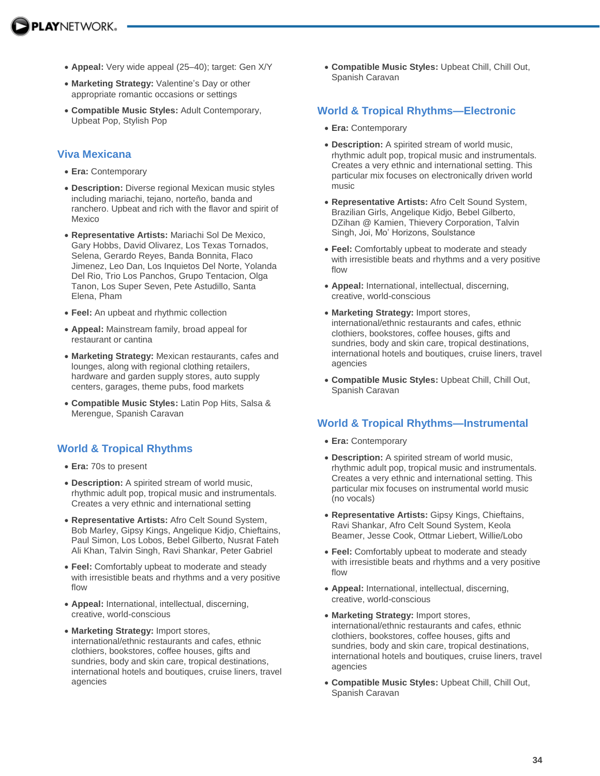- **Appeal:** Very wide appeal (25–40); target: Gen X/Y
- **Marketing Strategy:** Valentine's Day or other appropriate romantic occasions or settings
- **Compatible Music Styles:** Adult Contemporary, Upbeat Pop, Stylish Pop

#### **Viva Mexicana**

- **Era:** Contemporary
- **Description:** Diverse regional Mexican music styles including mariachi, tejano, norteño, banda and ranchero. Upbeat and rich with the flavor and spirit of Mexico
- **Representative Artists:** Mariachi Sol De Mexico, Gary Hobbs, David Olivarez, Los Texas Tornados, Selena, Gerardo Reyes, Banda Bonnita, Flaco Jimenez, Leo Dan, Los Inquietos Del Norte, Yolanda Del Rio, Trio Los Panchos, Grupo Tentacion, Olga Tanon, Los Super Seven, Pete Astudillo, Santa Elena, Pham
- **Feel:** An upbeat and rhythmic collection
- **Appeal:** Mainstream family, broad appeal for restaurant or cantina
- **Marketing Strategy:** Mexican restaurants, cafes and lounges, along with regional clothing retailers, hardware and garden supply stores, auto supply centers, garages, theme pubs, food markets
- **Compatible Music Styles:** Latin Pop Hits, Salsa & Merengue, Spanish Caravan

### **World & Tropical Rhythms**

- **Era:** 70s to present
- **Description:** A spirited stream of world music, rhythmic adult pop, tropical music and instrumentals. Creates a very ethnic and international setting
- **Representative Artists:** Afro Celt Sound System, Bob Marley, Gipsy Kings, Angelique Kidjo, Chieftains, Paul Simon, Los Lobos, Bebel Gilberto, Nusrat Fateh Ali Khan, Talvin Singh, Ravi Shankar, Peter Gabriel
- **Feel:** Comfortably upbeat to moderate and steady with irresistible beats and rhythms and a very positive flow
- **Appeal:** International, intellectual, discerning, creative, world-conscious
- **Marketing Strategy:** Import stores, international/ethnic restaurants and cafes, ethnic clothiers, bookstores, coffee houses, gifts and sundries, body and skin care, tropical destinations, international hotels and boutiques, cruise liners, travel agencies

 **Compatible Music Styles:** Upbeat Chill, Chill Out, Spanish Caravan

### **World & Tropical Rhythms—Electronic**

- **Era:** Contemporary
- **Description:** A spirited stream of world music, rhythmic adult pop, tropical music and instrumentals. Creates a very ethnic and international setting. This particular mix focuses on electronically driven world music
- **Representative Artists:** Afro Celt Sound System, Brazilian Girls, Angelique Kidjo, Bebel Gilberto, DZihan @ Kamien, Thievery Corporation, Talvin Singh, Joi, Mo' Horizons, Soulstance
- **Feel:** Comfortably upbeat to moderate and steady with irresistible beats and rhythms and a very positive flow
- **Appeal:** International, intellectual, discerning, creative, world-conscious
- **Marketing Strategy:** Import stores, international/ethnic restaurants and cafes, ethnic clothiers, bookstores, coffee houses, gifts and sundries, body and skin care, tropical destinations, international hotels and boutiques, cruise liners, travel agencies
- **Compatible Music Styles:** Upbeat Chill, Chill Out, Spanish Caravan

### **World & Tropical Rhythms—Instrumental**

- **Era:** Contemporary
- **Description:** A spirited stream of world music, rhythmic adult pop, tropical music and instrumentals. Creates a very ethnic and international setting. This particular mix focuses on instrumental world music (no vocals)
- **Representative Artists:** Gipsy Kings, Chieftains, Ravi Shankar, Afro Celt Sound System, Keola Beamer, Jesse Cook, Ottmar Liebert, Willie/Lobo
- **Feel:** Comfortably upbeat to moderate and steady with irresistible beats and rhythms and a very positive flow
- **Appeal:** International, intellectual, discerning, creative, world-conscious
- **Marketing Strategy:** Import stores, international/ethnic restaurants and cafes, ethnic clothiers, bookstores, coffee houses, gifts and sundries, body and skin care, tropical destinations, international hotels and boutiques, cruise liners, travel agencies
- **Compatible Music Styles:** Upbeat Chill, Chill Out, Spanish Caravan